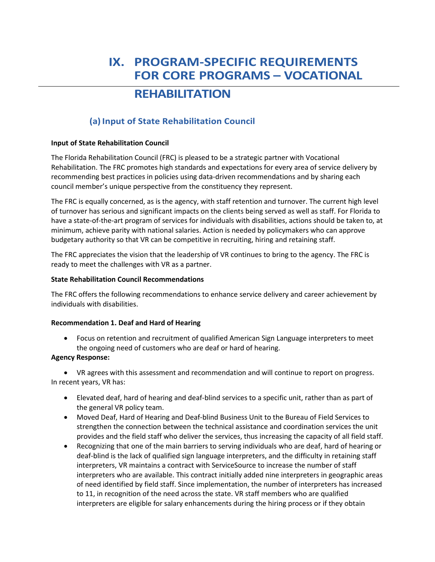# **IX. PROGRAM-SPECIFIC REQUIREMENTS FOR CORE PROGRAMS – VOCATIONAL**

# **REHABILITATION**

# **(a) Input of State Rehabilitation Council**

# **Input of State Rehabilitation Council**

The Florida Rehabilitation Council (FRC) is pleased to be a strategic partner with Vocational Rehabilitation. The FRC promotes high standards and expectations for every area of service delivery by recommending best practices in policies using data-driven recommendations and by sharing each council member's unique perspective from the constituency they represent.

The FRC is equally concerned, as is the agency, with staff retention and turnover. The current high level of turnover has serious and significant impacts on the clients being served as well as staff. For Florida to have a state-of-the-art program of services for individuals with disabilities, actions should be taken to, at minimum, achieve parity with national salaries. Action is needed by policymakers who can approve budgetary authority so that VR can be competitive in recruiting, hiring and retaining staff.

The FRC appreciates the vision that the leadership of VR continues to bring to the agency. The FRC is ready to meet the challenges with VR as a partner.

# **State Rehabilitation Council Recommendations**

The FRC offers the following recommendations to enhance service delivery and career achievement by individuals with disabilities.

# **Recommendation 1. Deaf and Hard of Hearing**

• Focus on retention and recruitment of qualified American Sign Language interpreters to meet the ongoing need of customers who are deaf or hard of hearing.

# **Agency Response:**

• VR agrees with this assessment and recommendation and will continue to report on progress. In recent years, VR has:

- Elevated deaf, hard of hearing and deaf-blind services to a specific unit, rather than as part of the general VR policy team.
- Moved Deaf, Hard of Hearing and Deaf-blind Business Unit to the Bureau of Field Services to strengthen the connection between the technical assistance and coordination services the unit provides and the field staff who deliver the services, thus increasing the capacity of all field staff.
- Recognizing that one of the main barriers to serving individuals who are deaf, hard of hearing or deaf-blind is the lack of qualified sign language interpreters, and the difficulty in retaining staff interpreters, VR maintains a contract with ServiceSource to increase the number of staff interpreters who are available. This contract initially added nine interpreters in geographic areas of need identified by field staff. Since implementation, the number of interpreters has increased to 11, in recognition of the need across the state. VR staff members who are qualified interpreters are eligible for salary enhancements during the hiring process or if they obtain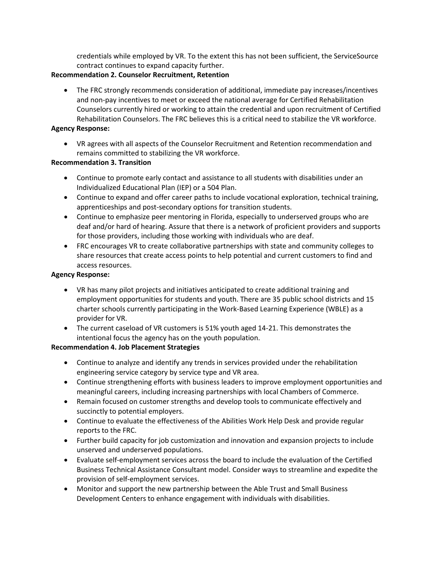credentials while employed by VR. To the extent this has not been sufficient, the ServiceSource contract continues to expand capacity further.

### **Recommendation 2. Counselor Recruitment, Retention**

• The FRC strongly recommends consideration of additional, immediate pay increases/incentives and non-pay incentives to meet or exceed the national average for Certified Rehabilitation Counselors currently hired or working to attain the credential and upon recruitment of Certified Rehabilitation Counselors. The FRC believes this is a critical need to stabilize the VR workforce.

### **Agency Response:**

• VR agrees with all aspects of the Counselor Recruitment and Retention recommendation and remains committed to stabilizing the VR workforce.

### **Recommendation 3. Transition**

- Continue to promote early contact and assistance to all students with disabilities under an Individualized Educational Plan (IEP) or a 504 Plan.
- Continue to expand and offer career paths to include vocational exploration, technical training, apprenticeships and post-secondary options for transition students.
- Continue to emphasize peer mentoring in Florida, especially to underserved groups who are deaf and/or hard of hearing. Assure that there is a network of proficient providers and supports for those providers, including those working with individuals who are deaf.
- FRC encourages VR to create collaborative partnerships with state and community colleges to share resources that create access points to help potential and current customers to find and access resources.

### **Agency Response:**

- VR has many pilot projects and initiatives anticipated to create additional training and employment opportunities for students and youth. There are 35 public school districts and 15 charter schools currently participating in the Work-Based Learning Experience (WBLE) as a provider for VR.
- The current caseload of VR customers is 51% youth aged 14-21. This demonstrates the intentional focus the agency has on the youth population.

# **Recommendation 4. Job Placement Strategies**

- Continue to analyze and identify any trends in services provided under the rehabilitation engineering service category by service type and VR area.
- Continue strengthening efforts with business leaders to improve employment opportunities and meaningful careers, including increasing partnerships with local Chambers of Commerce.
- Remain focused on customer strengths and develop tools to communicate effectively and succinctly to potential employers.
- Continue to evaluate the effectiveness of the Abilities Work Help Desk and provide regular reports to the FRC.
- Further build capacity for job customization and innovation and expansion projects to include unserved and underserved populations.
- Evaluate self-employment services across the board to include the evaluation of the Certified Business Technical Assistance Consultant model. Consider ways to streamline and expedite the provision of self-employment services.
- Monitor and support the new partnership between the Able Trust and Small Business Development Centers to enhance engagement with individuals with disabilities.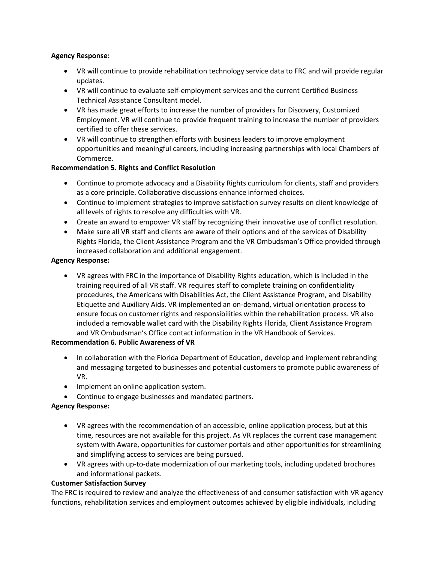### **Agency Response:**

- VR will continue to provide rehabilitation technology service data to FRC and will provide regular updates.
- VR will continue to evaluate self-employment services and the current Certified Business Technical Assistance Consultant model.
- VR has made great efforts to increase the number of providers for Discovery, Customized Employment. VR will continue to provide frequent training to increase the number of providers certified to offer these services.
- VR will continue to strengthen efforts with business leaders to improve employment opportunities and meaningful careers, including increasing partnerships with local Chambers of Commerce.

# **Recommendation 5. Rights and Conflict Resolution**

- Continue to promote advocacy and a Disability Rights curriculum for clients, staff and providers as a core principle. Collaborative discussions enhance informed choices.
- Continue to implement strategies to improve satisfaction survey results on client knowledge of all levels of rights to resolve any difficulties with VR.
- Create an award to empower VR staff by recognizing their innovative use of conflict resolution.
- Make sure all VR staff and clients are aware of their options and of the services of Disability Rights Florida, the Client Assistance Program and the VR Ombudsman's Office provided through increased collaboration and additional engagement.

### **Agency Response:**

• VR agrees with FRC in the importance of Disability Rights education, which is included in the training required of all VR staff. VR requires staff to complete training on confidentiality procedures, the Americans with Disabilities Act, the Client Assistance Program, and Disability Etiquette and Auxiliary Aids. VR implemented an on-demand, virtual orientation process to ensure focus on customer rights and responsibilities within the rehabilitation process. VR also included a removable wallet card with the Disability Rights Florida, Client Assistance Program and VR Ombudsman's Office contact information in the VR Handbook of Services.

### **Recommendation 6. Public Awareness of VR**

- In collaboration with the Florida Department of Education, develop and implement rebranding and messaging targeted to businesses and potential customers to promote public awareness of VR.
- Implement an online application system.
- Continue to engage businesses and mandated partners.

# **Agency Response:**

- VR agrees with the recommendation of an accessible, online application process, but at this time, resources are not available for this project. As VR replaces the current case management system with Aware, opportunities for customer portals and other opportunities for streamlining and simplifying access to services are being pursued.
- VR agrees with up-to-date modernization of our marketing tools, including updated brochures and informational packets.

### **Customer Satisfaction Survey**

The FRC is required to review and analyze the effectiveness of and consumer satisfaction with VR agency functions, rehabilitation services and employment outcomes achieved by eligible individuals, including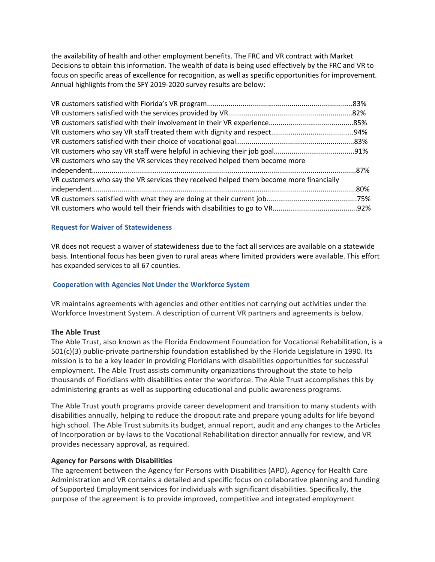the availability of health and other employment benefits. The FRC and VR contract with Market Decisions to obtain this information. The wealth of data is being used effectively by the FRC and VR to focus on specific areas of excellence for recognition, as well as specific opportunities for improvement. Annual highlights from the SFY 2019-2020 survey results are below:

| VR customers who say the VR services they received helped them become more             |  |
|----------------------------------------------------------------------------------------|--|
|                                                                                        |  |
| VR customers who say the VR services they received helped them become more financially |  |
|                                                                                        |  |
|                                                                                        |  |
|                                                                                        |  |

#### **Request for Waiver of Statewideness**

VR does not request a waiver of statewideness due to the fact all services are available on a statewide basis. Intentional focus has been given to rural areas where limited providers were available. This effort has expanded services to all 67 counties.

#### **Cooperation with Agencies Not Under the Workforce System**

VR maintains agreements with agencies and other entities not carrying out activities under the Workforce Investment System. A description of current VR partners and agreements is below.

#### **The Able Trust**

The Able Trust, also known as the Florida Endowment Foundation for Vocational Rehabilitation, is a 501(c)(3) public-private partnership foundation established by the Florida Legislature in 1990. Its mission is to be a key leader in providing Floridians with disabilities opportunities for successful employment. The Able Trust assists community organizations throughout the state to help thousands of Floridians with disabilities enter the workforce. The Able Trust accomplishes this by administering grants as well as supporting educational and public awareness programs.

The Able Trust youth programs provide career development and transition to many students with disabilities annually, helping to reduce the dropout rate and prepare young adults for life beyond high school. The Able Trust submits its budget, annual report, audit and any changes to the Articles of Incorporation or by-laws to the Vocational Rehabilitation director annually for review, and VR provides necessary approval, as required.

### **Agency for Persons with Disabilities**

The agreement between the Agency for Persons with Disabilities (APD), Agency for Health Care Administration and VR contains a detailed and specific focus on collaborative planning and funding of Supported Employment services for individuals with significant disabilities. Specifically, the purpose of the agreement is to provide improved, competitive and integrated employment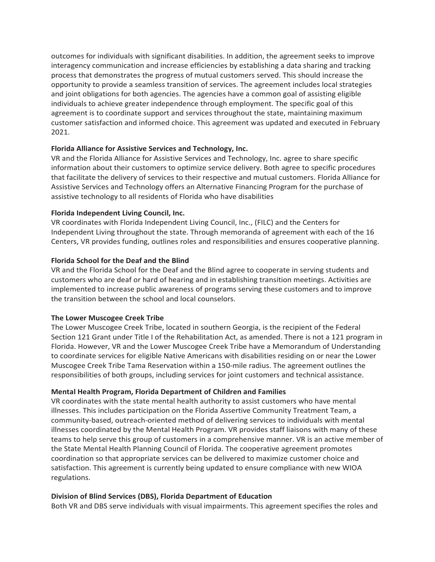outcomes for individuals with significant disabilities. In addition, the agreement seeks to improve interagency communication and increase efficiencies by establishing a data sharing and tracking process that demonstrates the progress of mutual customers served. This should increase the opportunity to provide a seamless transition of services. The agreement includes local strategies and joint obligations for both agencies. The agencies have a common goal of assisting eligible individuals to achieve greater independence through employment. The specific goal of this agreement is to coordinate support and services throughout the state, maintaining maximum customer satisfaction and informed choice. This agreement was updated and executed in February 2021.

### **Florida Alliance for Assistive Services and Technology, Inc.**

VR and the Florida Alliance for Assistive Services and Technology, Inc. agree to share specific information about their customers to optimize service delivery. Both agree to specific procedures that facilitate the delivery of services to their respective and mutual customers. Florida Alliance for Assistive Services and Technology offers an Alternative Financing Program for the purchase of assistive technology to all residents of Florida who have disabilities

#### **Florida Independent Living Council, Inc.**

VR coordinates with Florida Independent Living Council, Inc., (FILC) and the Centers for Independent Living throughout the state. Through memoranda of agreement with each of the 16 Centers, VR provides funding, outlines roles and responsibilities and ensures cooperative planning.

#### **Florida School for the Deaf and the Blind**

VR and the Florida School for the Deaf and the Blind agree to cooperate in serving students and customers who are deaf or hard of hearing and in establishing transition meetings. Activities are implemented to increase public awareness of programs serving these customers and to improve the transition between the school and local counselors.

### **The Lower Muscogee Creek Tribe**

The Lower Muscogee Creek Tribe, located in southern Georgia, is the recipient of the Federal Section 121 Grant under Title I of the Rehabilitation Act, as amended. There is not a 121 program in Florida. However, VR and the Lower Muscogee Creek Tribe have a Memorandum of Understanding to coordinate services for eligible Native Americans with disabilities residing on or near the Lower Muscogee Creek Tribe Tama Reservation within a 150-mile radius. The agreement outlines the responsibilities of both groups, including services for joint customers and technical assistance.

#### **Mental Health Program, Florida Department of Children and Families**

VR coordinates with the state mental health authority to assist customers who have mental illnesses. This includes participation on the Florida Assertive Community Treatment Team, a community-based, outreach-oriented method of delivering services to individuals with mental illnesses coordinated by the Mental Health Program. VR provides staff liaisons with many of these teams to help serve this group of customers in a comprehensive manner. VR is an active member of the State Mental Health Planning Council of Florida. The cooperative agreement promotes coordination so that appropriate services can be delivered to maximize customer choice and satisfaction. This agreement is currently being updated to ensure compliance with new WIOA regulations.

#### **Division of Blind Services (DBS), Florida Department of Education**

Both VR and DBS serve individuals with visual impairments. This agreement specifies the roles and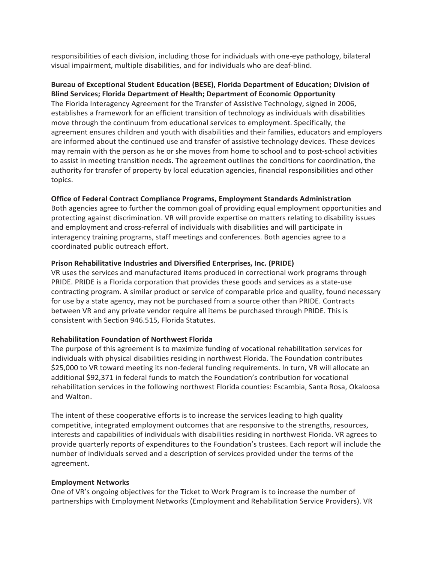responsibilities of each division, including those for individuals with one-eye pathology, bilateral visual impairment, multiple disabilities, and for individuals who are deaf-blind.

### **Bureau of Exceptional Student Education (BESE), Florida Department of Education; Division of Blind Services; Florida Department of Health; Department of Economic Opportunity**

The Florida Interagency Agreement for the Transfer of Assistive Technology, signed in 2006, establishes a framework for an efficient transition of technology as individuals with disabilities move through the continuum from educational services to employment. Specifically, the agreement ensures children and youth with disabilities and their families, educators and employers are informed about the continued use and transfer of assistive technology devices. These devices may remain with the person as he or she moves from home to school and to post-school activities to assist in meeting transition needs. The agreement outlines the conditions for coordination, the authority for transfer of property by local education agencies, financial responsibilities and other topics.

### **Office of Federal Contract Compliance Programs, Employment Standards Administration**

Both agencies agree to further the common goal of providing equal employment opportunities and protecting against discrimination. VR will provide expertise on matters relating to disability issues and employment and cross-referral of individuals with disabilities and will participate in interagency training programs, staff meetings and conferences. Both agencies agree to a coordinated public outreach effort.

### **Prison Rehabilitative Industries and Diversified Enterprises, Inc. (PRIDE)**

VR uses the services and manufactured items produced in correctional work programs through PRIDE. PRIDE is a Florida corporation that provides these goods and services as a state-use contracting program. A similar product or service of comparable price and quality, found necessary for use by a state agency, may not be purchased from a source other than PRIDE. Contracts between VR and any private vendor require all items be purchased through PRIDE. This is consistent with Section 946.515, Florida Statutes.

### **Rehabilitation Foundation of Northwest Florida**

The purpose of this agreement is to maximize funding of vocational rehabilitation services for individuals with physical disabilities residing in northwest Florida. The Foundation contributes \$25,000 to VR toward meeting its non-federal funding requirements. In turn, VR will allocate an additional \$92,371 in federal funds to match the Foundation's contribution for vocational rehabilitation services in the following northwest Florida counties: Escambia, Santa Rosa, Okaloosa and Walton.

The intent of these cooperative efforts is to increase the services leading to high quality competitive, integrated employment outcomes that are responsive to the strengths, resources, interests and capabilities of individuals with disabilities residing in northwest Florida. VR agrees to provide quarterly reports of expenditures to the Foundation's trustees. Each report will include the number of individuals served and a description of services provided under the terms of the agreement.

### **Employment Networks**

One of VR's ongoing objectives for the Ticket to Work Program is to increase the number of partnerships with Employment Networks (Employment and Rehabilitation Service Providers). VR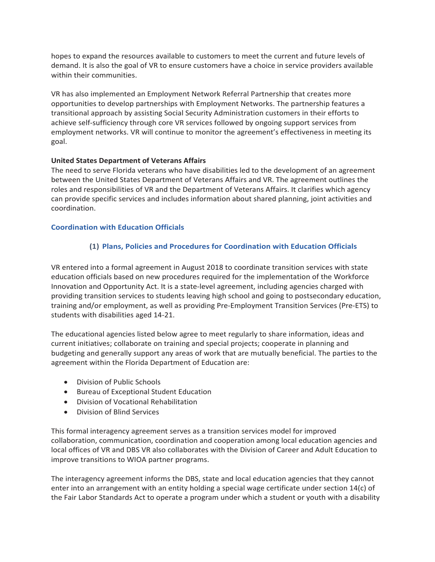hopes to expand the resources available to customers to meet the current and future levels of demand. It is also the goal of VR to ensure customers have a choice in service providers available within their communities.

VR has also implemented an Employment Network Referral Partnership that creates more opportunities to develop partnerships with Employment Networks. The partnership features a transitional approach by assisting Social Security Administration customers in their efforts to achieve self-sufficiency through core VR services followed by ongoing support services from employment networks. VR will continue to monitor the agreement's effectiveness in meeting its goal.

### **United States Department of Veterans Affairs**

The need to serve Florida veterans who have disabilities led to the development of an agreement between the United States Department of Veterans Affairs and VR. The agreement outlines the roles and responsibilities of VR and the Department of Veterans Affairs. It clarifies which agency can provide specific services and includes information about shared planning, joint activities and coordination.

### **Coordination with Education Officials**

# **(1) Plans, Policies and Procedures for Coordination with Education Officials**

VR entered into a formal agreement in August 2018 to coordinate transition services with state education officials based on new procedures required for the implementation of the Workforce Innovation and Opportunity Act. It is a state-level agreement, including agencies charged with providing transition services to students leaving high school and going to postsecondary education, training and/or employment, as well as providing Pre-Employment Transition Services (Pre-ETS) to students with disabilities aged 14-21.

The educational agencies listed below agree to meet regularly to share information, ideas and current initiatives; collaborate on training and special projects; cooperate in planning and budgeting and generally support any areas of work that are mutually beneficial. The parties to the agreement within the Florida Department of Education are:

- Division of Public Schools
- Bureau of Exceptional Student Education
- Division of Vocational Rehabilitation
- Division of Blind Services

This formal interagency agreement serves as a transition services model for improved collaboration, communication, coordination and cooperation among local education agencies and local offices of VR and DBS VR also collaborates with the Division of Career and Adult Education to improve transitions to WIOA partner programs.

The interagency agreement informs the DBS, state and local education agencies that they cannot enter into an arrangement with an entity holding a special wage certificate under section 14(c) of the Fair Labor Standards Act to operate a program under which a student or youth with a disability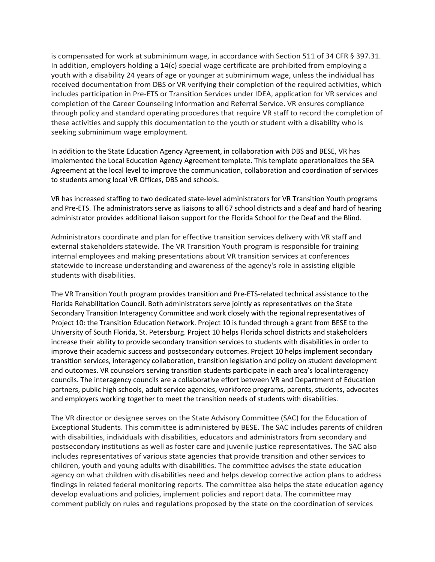is compensated for work at subminimum wage, in accordance with Section 511 of 34 CFR § 397.31. In addition, employers holding a 14(c) special wage certificate are prohibited from employing a youth with a disability 24 years of age or younger at subminimum wage, unless the individual has received documentation from DBS or VR verifying their completion of the required activities, which includes participation in Pre-ETS or Transition Services under IDEA, application for VR services and completion of the Career Counseling Information and Referral Service. VR ensures compliance through policy and standard operating procedures that require VR staff to record the completion of these activities and supply this documentation to the youth or student with a disability who is seeking subminimum wage employment.

In addition to the State Education Agency Agreement, in collaboration with DBS and BESE, VR has implemented the Local Education Agency Agreement template. This template operationalizes the SEA Agreement at the local level to improve the communication, collaboration and coordination of services to students among local VR Offices, DBS and schools.

VR has increased staffing to two dedicated state-level administrators for VR Transition Youth programs and Pre-ETS. The administrators serve as liaisons to all 67 school districts and a deaf and hard of hearing administrator provides additional liaison support for the Florida School for the Deaf and the Blind.

Administrators coordinate and plan for effective transition services delivery with VR staff and external stakeholders statewide. The VR Transition Youth program is responsible for training internal employees and making presentations about VR transition services at conferences statewide to increase understanding and awareness of the agency's role in assisting eligible students with disabilities.

The VR Transition Youth program provides transition and Pre-ETS-related technical assistance to the Florida Rehabilitation Council. Both administrators serve jointly as representatives on the State Secondary Transition Interagency Committee and work closely with the regional representatives of Project 10: the Transition Education Network. Project 10 is funded through a grant from BESE to the University of South Florida, St. Petersburg. Project 10 helps Florida school districts and stakeholders increase their ability to provide secondary transition services to students with disabilities in order to improve their academic success and postsecondary outcomes. Project 10 helps implement secondary transition services, interagency collaboration, transition legislation and policy on student development and outcomes. VR counselors serving transition students participate in each area's local interagency councils. The interagency councils are a collaborative effort between VR and Department of Education partners, public high schools, adult service agencies, workforce programs, parents, students, advocates and employers working together to meet the transition needs of students with disabilities.

The VR director or designee serves on the State Advisory Committee (SAC) for the Education of Exceptional Students. This committee is administered by BESE. The SAC includes parents of children with disabilities, individuals with disabilities, educators and administrators from secondary and postsecondary institutions as well as foster care and juvenile justice representatives. The SAC also includes representatives of various state agencies that provide transition and other services to children, youth and young adults with disabilities. The committee advises the state education agency on what children with disabilities need and helps develop corrective action plans to address findings in related federal monitoring reports. The committee also helps the state education agency develop evaluations and policies, implement policies and report data. The committee may comment publicly on rules and regulations proposed by the state on the coordination of services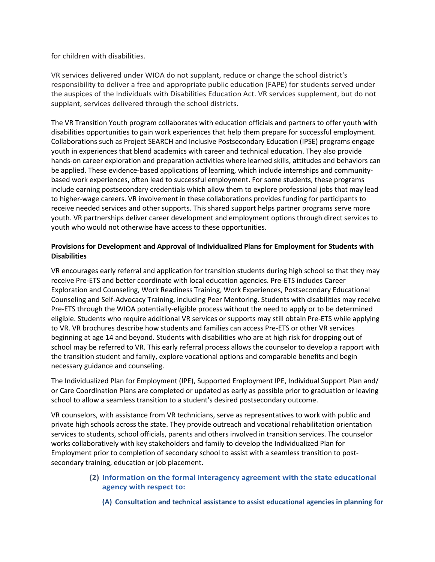for children with disabilities.

VR services delivered under WIOA do not supplant, reduce or change the school district's responsibility to deliver a free and appropriate public education (FAPE) for students served under the auspices of the Individuals with Disabilities Education Act. VR services supplement, but do not supplant, services delivered through the school districts.

The VR Transition Youth program collaborates with education officials and partners to offer youth with disabilities opportunities to gain work experiences that help them prepare for successful employment. Collaborations such as Project SEARCH and Inclusive Postsecondary Education (IPSE) programs engage youth in experiences that blend academics with career and technical education. They also provide hands-on career exploration and preparation activities where learned skills, attitudes and behaviors can be applied. These evidence-based applications of learning, which include internships and communitybased work experiences, often lead to successful employment. For some students, these programs include earning postsecondary credentials which allow them to explore professional jobs that may lead to higher-wage careers. VR involvement in these collaborations provides funding for participants to receive needed services and other supports. This shared support helps partner programs serve more youth. VR partnerships deliver career development and employment options through direct services to youth who would not otherwise have access to these opportunities.

# **Provisions for Development and Approval of Individualized Plans for Employment for Students with Disabilities**

VR encourages early referral and application for transition students during high school so that they may receive Pre-ETS and better coordinate with local education agencies. Pre-ETS includes Career Exploration and Counseling, Work Readiness Training, Work Experiences, Postsecondary Educational Counseling and Self-Advocacy Training, including Peer Mentoring. Students with disabilities may receive Pre-ETS through the WIOA potentially-eligible process without the need to apply or to be determined eligible. Students who require additional VR services or supports may still obtain Pre-ETS while applying to VR. VR brochures describe how students and families can access Pre-ETS or other VR services beginning at age 14 and beyond. Students with disabilities who are at high risk for dropping out of school may be referred to VR. This early referral process allows the counselor to develop a rapport with the transition student and family, explore vocational options and comparable benefits and begin necessary guidance and counseling.

The Individualized Plan for Employment (IPE), Supported Employment IPE, Individual Support Plan and/ or Care Coordination Plans are completed or updated as early as possible prior to graduation or leaving school to allow a seamless transition to a student's desired postsecondary outcome.

VR counselors, with assistance from VR technicians, serve as representatives to work with public and private high schools across the state. They provide outreach and vocational rehabilitation orientation services to students, school officials, parents and others involved in transition services. The counselor works collaboratively with key stakeholders and family to develop the Individualized Plan for Employment prior to completion of secondary school to assist with a seamless transition to postsecondary training, education or job placement.

# **(2) Information on the formal interagency agreement with the state educational agency with respect to:**

**(A) Consultation and technical assistance to assist educational agencies in planning for**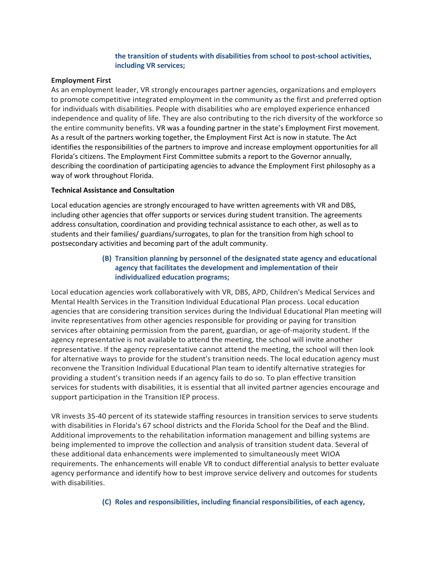### **the transition of students with disabilities from school to post-school activities, including VR services;**

#### **Employment First**

As an employment leader, VR strongly encourages partner agencies, organizations and employers to promote competitive integrated employment in the community as the first and preferred option for individuals with disabilities. People with disabilities who are employed experience enhanced independence and quality of life. They are also contributing to the rich diversity of the workforce so the entire community benefits. VR was a founding partner in the state's Employment First movement. As a result of the partners working together, the Employment First Act is now in statute. The Act identifies the responsibilities of the partners to improve and increase employment opportunities for all Florida's citizens. The Employment First Committee submits a report to the Governor annually, describing the coordination of participating agencies to advance the Employment First philosophy as a way of work throughout Florida.

#### **Technical Assistance and Consultation**

Local education agencies are strongly encouraged to have written agreements with VR and DBS, including other agencies that offer supports or services during student transition. The agreements address consultation, coordination and providing technical assistance to each other, as well as to students and their families/ guardians/surrogates, to plan for the transition from high school to postsecondary activities and becoming part of the adult community.

# **(B) Transition planning by personnel of the designated state agency and educational agency that facilitates the development and implementation of their individualized education programs;**

Local education agencies work collaboratively with VR, DBS, APD, Children's Medical Services and Mental Health Services in the Transition Individual Educational Plan process. Local education agencies that are considering transition services during the Individual Educational Plan meeting will invite representatives from other agencies responsible for providing or paying for transition services after obtaining permission from the parent, guardian, or age-of-majority student. If the agency representative is not available to attend the meeting, the school will invite another representative. If the agency representative cannot attend the meeting, the school will then look for alternative ways to provide for the student's transition needs. The local education agency must reconvene the Transition Individual Educational Plan team to identify alternative strategies for providing a student's transition needs if an agency fails to do so. To plan effective transition services for students with disabilities, it is essential that all invited partner agencies encourage and support participation in the Transition IEP process.

VR invests 35-40 percent of its statewide staffing resources in transition services to serve students with disabilities in Florida's 67 school districts and the Florida School for the Deaf and the Blind. Additional improvements to the rehabilitation information management and billing systems are being implemented to improve the collection and analysis of transition student data. Several of these additional data enhancements were implemented to simultaneously meet WIOA requirements. The enhancements will enable VR to conduct differential analysis to better evaluate agency performance and identify how to best improve service delivery and outcomes for students with disabilities.

### **(C) Roles and responsibilities, including financial responsibilities, of each agency,**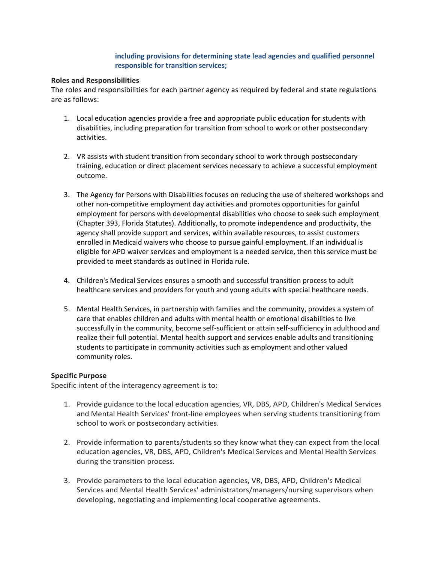### **including provisions for determining state lead agencies and qualified personnel responsible for transition services;**

#### **Roles and Responsibilities**

The roles and responsibilities for each partner agency as required by federal and state regulations are as follows:

- 1. Local education agencies provide a free and appropriate public education for students with disabilities, including preparation for transition from school to work or other postsecondary activities.
- 2. VR assists with student transition from secondary school to work through postsecondary training, education or direct placement services necessary to achieve a successful employment outcome.
- 3. The Agency for Persons with Disabilities focuses on reducing the use of sheltered workshops and other non-competitive employment day activities and promotes opportunities for gainful employment for persons with developmental disabilities who choose to seek such employment (Chapter 393, Florida Statutes). Additionally, to promote independence and productivity, the agency shall provide support and services, within available resources, to assist customers enrolled in Medicaid waivers who choose to pursue gainful employment. If an individual is eligible for APD waiver services and employment is a needed service, then this service must be provided to meet standards as outlined in Florida rule.
- 4. Children's Medical Services ensures a smooth and successful transition process to adult healthcare services and providers for youth and young adults with special healthcare needs.
- 5. Mental Health Services, in partnership with families and the community, provides a system of care that enables children and adults with mental health or emotional disabilities to live successfully in the community, become self-sufficient or attain self-sufficiency in adulthood and realize their full potential. Mental health support and services enable adults and transitioning students to participate in community activities such as employment and other valued community roles.

### **Specific Purpose**

Specific intent of the interagency agreement is to:

- 1. Provide guidance to the local education agencies, VR, DBS, APD, Children's Medical Services and Mental Health Services' front-line employees when serving students transitioning from school to work or postsecondary activities.
- 2. Provide information to parents/students so they know what they can expect from the local education agencies, VR, DBS, APD, Children's Medical Services and Mental Health Services during the transition process.
- 3. Provide parameters to the local education agencies, VR, DBS, APD, Children's Medical Services and Mental Health Services' administrators/managers/nursing supervisors when developing, negotiating and implementing local cooperative agreements.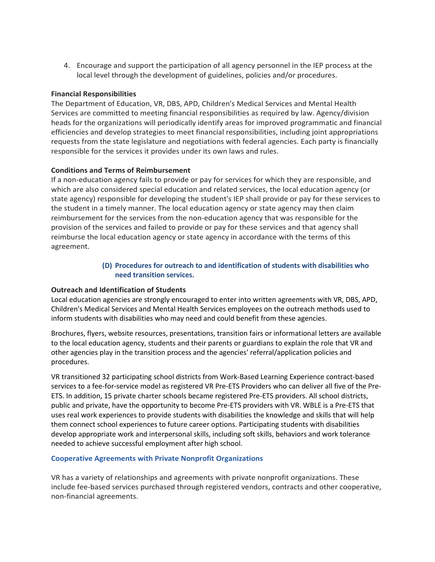4. Encourage and support the participation of all agency personnel in the IEP process at the local level through the development of guidelines, policies and/or procedures.

### **Financial Responsibilities**

The Department of Education, VR, DBS, APD, Children's Medical Services and Mental Health Services are committed to meeting financial responsibilities as required by law. Agency/division heads for the organizations will periodically identify areas for improved programmatic and financial efficiencies and develop strategies to meet financial responsibilities, including joint appropriations requests from the state legislature and negotiations with federal agencies. Each party is financially responsible for the services it provides under its own laws and rules.

### **Conditions and Terms of Reimbursement**

If a non-education agency fails to provide or pay for services for which they are responsible, and which are also considered special education and related services, the local education agency (or state agency) responsible for developing the student's IEP shall provide or pay for these services to the student in a timely manner. The local education agency or state agency may then claim reimbursement for the services from the non-education agency that was responsible for the provision of the services and failed to provide or pay for these services and that agency shall reimburse the local education agency or state agency in accordance with the terms of this agreement.

# **(D) Procedures for outreach to and identification of students with disabilities who need transition services.**

### **Outreach and Identification of Students**

Local education agencies are strongly encouraged to enter into written agreements with VR, DBS, APD, Children's Medical Services and Mental Health Services employees on the outreach methods used to inform students with disabilities who may need and could benefit from these agencies.

Brochures, flyers, website resources, presentations, transition fairs or informational letters are available to the local education agency, students and their parents or guardians to explain the role that VR and other agencies play in the transition process and the agencies' referral/application policies and procedures.

VR transitioned 32 participating school districts from Work-Based Learning Experience contract-based services to a fee-for-service model as registered VR Pre-ETS Providers who can deliver all five of the Pre-ETS. In addition, 15 private charter schools became registered Pre-ETS providers. All school districts, public and private, have the opportunity to become Pre-ETS providers with VR. WBLE is a Pre-ETS that uses real work experiences to provide students with disabilities the knowledge and skills that will help them connect school experiences to future career options. Participating students with disabilities develop appropriate work and interpersonal skills, including soft skills, behaviors and work tolerance needed to achieve successful employment after high school.

### **Cooperative Agreements with Private Nonprofit Organizations**

VR has a variety of relationships and agreements with private nonprofit organizations. These include fee-based services purchased through registered vendors, contracts and other cooperative, non-financial agreements.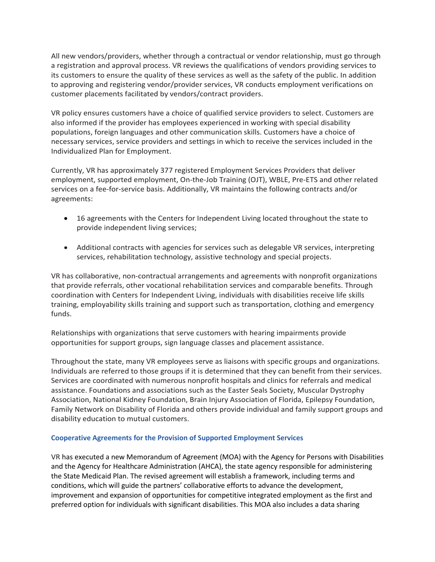All new vendors/providers, whether through a contractual or vendor relationship, must go through a registration and approval process. VR reviews the qualifications of vendors providing services to its customers to ensure the quality of these services as well as the safety of the public. In addition to approving and registering vendor/provider services, VR conducts employment verifications on customer placements facilitated by vendors/contract providers.

VR policy ensures customers have a choice of qualified service providers to select. Customers are also informed if the provider has employees experienced in working with special disability populations, foreign languages and other communication skills. Customers have a choice of necessary services, service providers and settings in which to receive the services included in the Individualized Plan for Employment.

Currently, VR has approximately 377 registered Employment Services Providers that deliver employment, supported employment, On-the-Job Training (OJT), WBLE, Pre-ETS and other related services on a fee-for-service basis. Additionally, VR maintains the following contracts and/or agreements:

- 16 agreements with the Centers for Independent Living located throughout the state to provide independent living services;
- Additional contracts with agencies for services such as delegable VR services, interpreting services, rehabilitation technology, assistive technology and special projects.

VR has collaborative, non-contractual arrangements and agreements with nonprofit organizations that provide referrals, other vocational rehabilitation services and comparable benefits. Through coordination with Centers for Independent Living, individuals with disabilities receive life skills training, employability skills training and support such as transportation, clothing and emergency funds.

Relationships with organizations that serve customers with hearing impairments provide opportunities for support groups, sign language classes and placement assistance.

Throughout the state, many VR employees serve as liaisons with specific groups and organizations. Individuals are referred to those groups if it is determined that they can benefit from their services. Services are coordinated with numerous nonprofit hospitals and clinics for referrals and medical assistance. Foundations and associations such as the Easter Seals Society, Muscular Dystrophy Association, National Kidney Foundation, Brain Injury Association of Florida, Epilepsy Foundation, Family Network on Disability of Florida and others provide individual and family support groups and disability education to mutual customers.

### **Cooperative Agreements for the Provision of Supported Employment Services**

VR has executed a new Memorandum of Agreement (MOA) with the Agency for Persons with Disabilities and the Agency for Healthcare Administration (AHCA), the state agency responsible for administering the State Medicaid Plan. The revised agreement will establish a framework, including terms and conditions, which will guide the partners' collaborative efforts to advance the development, improvement and expansion of opportunities for competitive integrated employment as the first and preferred option for individuals with significant disabilities. This MOA also includes a data sharing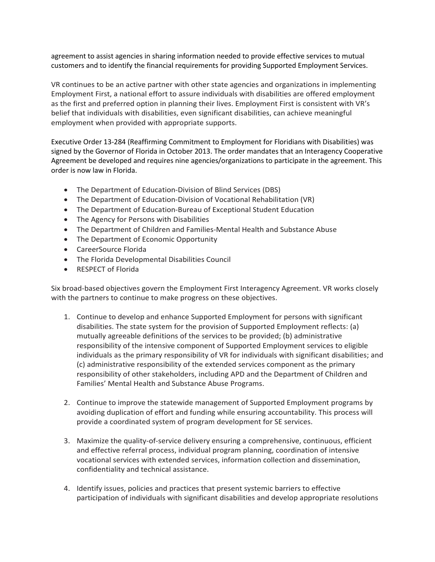agreement to assist agencies in sharing information needed to provide effective services to mutual customers and to identify the financial requirements for providing Supported Employment Services.

VR continues to be an active partner with other state agencies and organizations in implementing Employment First, a national effort to assure individuals with disabilities are offered employment as the first and preferred option in planning their lives. Employment First is consistent with VR's belief that individuals with disabilities, even significant disabilities, can achieve meaningful employment when provided with appropriate supports.

Executive Order 13-284 (Reaffirming Commitment to Employment for Floridians with Disabilities) was signed by the Governor of Florida in October 2013. The order mandates that an Interagency Cooperative Agreement be developed and requires nine agencies/organizations to participate in the agreement. This order is now law in Florida.

- The Department of Education-Division of Blind Services (DBS)
- The Department of Education-Division of Vocational Rehabilitation (VR)
- The Department of Education-Bureau of Exceptional Student Education
- The Agency for Persons with Disabilities
- The Department of Children and Families-Mental Health and Substance Abuse
- The Department of Economic Opportunity
- CareerSource Florida
- The Florida Developmental Disabilities Council
- RESPECT of Florida

Six broad-based objectives govern the Employment First Interagency Agreement. VR works closely with the partners to continue to make progress on these objectives.

- 1. Continue to develop and enhance Supported Employment for persons with significant disabilities. The state system for the provision of Supported Employment reflects: (a) mutually agreeable definitions of the services to be provided; (b) administrative responsibility of the intensive component of Supported Employment services to eligible individuals as the primary responsibility of VR for individuals with significant disabilities; and (c) administrative responsibility of the extended services component as the primary responsibility of other stakeholders, including APD and the Department of Children and Families' Mental Health and Substance Abuse Programs.
- 2. Continue to improve the statewide management of Supported Employment programs by avoiding duplication of effort and funding while ensuring accountability. This process will provide a coordinated system of program development for SE services.
- 3. Maximize the quality-of-service delivery ensuring a comprehensive, continuous, efficient and effective referral process, individual program planning, coordination of intensive vocational services with extended services, information collection and dissemination, confidentiality and technical assistance.
- 4. Identify issues, policies and practices that present systemic barriers to effective participation of individuals with significant disabilities and develop appropriate resolutions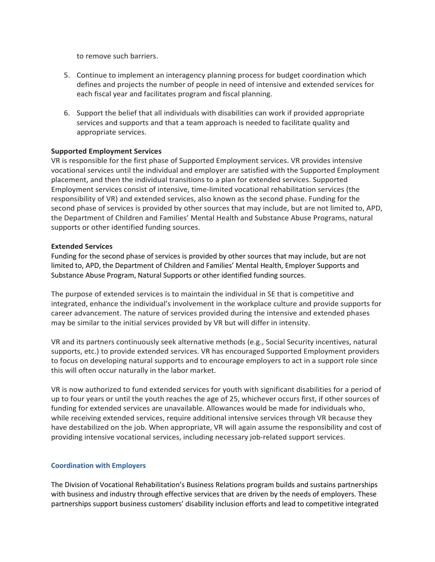to remove such barriers.

- 5. Continue to implement an interagency planning process for budget coordination which defines and projects the number of people in need of intensive and extended services for each fiscal year and facilitates program and fiscal planning.
- 6. Support the belief that all individuals with disabilities can work if provided appropriate services and supports and that a team approach is needed to facilitate quality and appropriate services.

#### **Supported Employment Services**

VR is responsible for the first phase of Supported Employment services. VR provides intensive vocational services until the individual and employer are satisfied with the Supported Employment placement, and then the individual transitions to a plan for extended services. Supported Employment services consist of intensive, time-limited vocational rehabilitation services (the responsibility of VR) and extended services, also known as the second phase. Funding for the second phase of services is provided by other sources that may include, but are not limited to, APD, the Department of Children and Families' Mental Health and Substance Abuse Programs, natural supports or other identified funding sources.

#### **Extended Services**

Funding for the second phase of services is provided by other sources that may include, but are not limited to, APD, the Department of Children and Families' Mental Health, Employer Supports and Substance Abuse Program, Natural Supports or other identified funding sources.

The purpose of extended services is to maintain the individual in SE that is competitive and integrated, enhance the individual's involvement in the workplace culture and provide supports for career advancement. The nature of services provided during the intensive and extended phases may be similar to the initial services provided by VR but will differ in intensity.

VR and its partners continuously seek alternative methods (e.g., Social Security incentives, natural supports, etc.) to provide extended services. VR has encouraged Supported Employment providers to focus on developing natural supports and to encourage employers to act in a support role since this will often occur naturally in the labor market.

VR is now authorized to fund extended services for youth with significant disabilities for a period of up to four years or until the youth reaches the age of 25, whichever occurs first, if other sources of funding for extended services are unavailable. Allowances would be made for individuals who, while receiving extended services, require additional intensive services through VR because they have destabilized on the job. When appropriate, VR will again assume the responsibility and cost of providing intensive vocational services, including necessary job-related support services.

#### **Coordination with Employers**

The Division of Vocational Rehabilitation's Business Relations program builds and sustains partnerships with business and industry through effective services that are driven by the needs of employers. These partnerships support business customers' disability inclusion efforts and lead to competitive integrated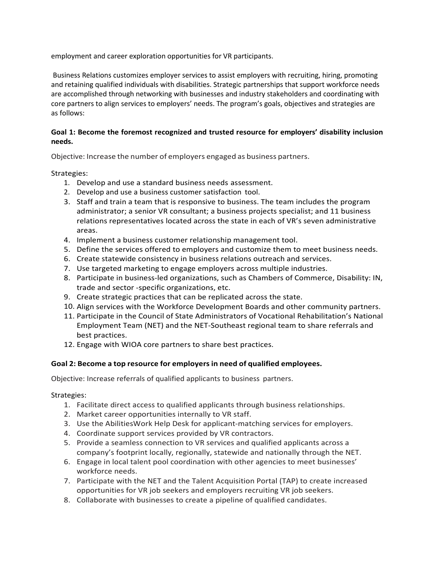employment and career exploration opportunities for VR participants.

Business Relations customizes employer services to assist employers with recruiting, hiring, promoting and retaining qualified individuals with disabilities. Strategic partnerships that support workforce needs are accomplished through networking with businesses and industry stakeholders and coordinating with core partners to align services to employers' needs. The program's goals, objectives and strategies are as follows:

# **Goal 1: Become the foremost recognized and trusted resource for employers' disability inclusion needs.**

Objective: Increase the number of employers engaged as business partners.

Strategies:

- 1. Develop and use a standard business needs assessment.
- 2. Develop and use a business customer satisfaction tool.
- 3. Staff and train a team that is responsive to business. The team includes the program administrator; a senior VR consultant; a business projects specialist; and 11 business relations representatives located across the state in each of VR's seven administrative areas.
- 4. Implement a business customer relationship management tool.
- 5. Define the services offered to employers and customize them to meet business needs.
- 6. Create statewide consistency in business relations outreach and services.
- 7. Use targeted marketing to engage employers across multiple industries.
- 8. Participate in business-led organizations, such as Chambers of Commerce, Disability: IN, trade and sector -specific organizations, etc.
- 9. Create strategic practices that can be replicated across the state.
- 10. Align services with the Workforce Development Boards and other community partners.
- 11. Participate in the Council of State Administrators of Vocational Rehabilitation's National Employment Team (NET) and the NET-Southeast regional team to share referrals and best practices.
- 12. Engage with WIOA core partners to share best practices.

### **Goal 2: Become a top resource for employersin need of qualified employees.**

Objective: Increase referrals of qualified applicants to business partners.

### Strategies:

- 1. Facilitate direct access to qualified applicants through business relationships.
- 2. Market career opportunities internally to VR staff.
- 3. Use the AbilitiesWork Help Desk for applicant-matching services for employers.
- 4. Coordinate support services provided by VR contractors.
- 5. Provide a seamless connection to VR services and qualified applicants across a company's footprint locally, regionally, statewide and nationally through the NET.
- 6. Engage in local talent pool coordination with other agencies to meet businesses' workforce needs.
- 7. Participate with the NET and the Talent Acquisition Portal (TAP) to create increased opportunities for VR job seekers and employers recruiting VR job seekers.
- 8. Collaborate with businesses to create a pipeline of qualified candidates.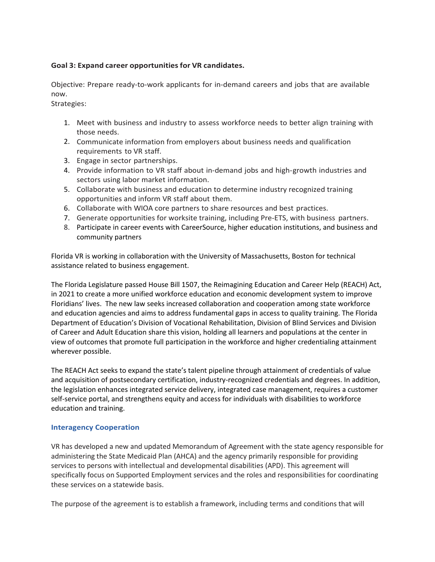### **Goal 3: Expand career opportunities for VR candidates.**

Objective: Prepare ready-to-work applicants for in-demand careers and jobs that are available now.

Strategies:

- 1. Meet with business and industry to assess workforce needs to better align training with those needs.
- 2. Communicate information from employers about business needs and qualification requirements to VR staff.
- 3. Engage in sector partnerships.
- 4. Provide information to VR staff about in-demand jobs and high-growth industries and sectors using labor market information.
- 5. Collaborate with business and education to determine industry recognized training opportunities and inform VR staff about them.
- 6. Collaborate with WIOA core partners to share resources and best practices.
- 7. Generate opportunities for worksite training, including Pre-ETS, with business partners.
- 8. Participate in career events with CareerSource, higher education institutions, and business and community partners

Florida VR is working in collaboration with the University of Massachusetts, Boston for technical assistance related to business engagement.

The Florida Legislature passed House Bill 1507, the Reimagining Education and Career Help (REACH) Act, in 2021 to create a more unified workforce education and economic development system to improve Floridians' lives. The new law seeks increased collaboration and cooperation among state workforce and education agencies and aims to address fundamental gaps in access to quality training. The Florida Department of Education's Division of Vocational Rehabilitation, Division of Blind Services and Division of Career and Adult Education share this vision, holding all learners and populations at the center in view of outcomes that promote full participation in the workforce and higher credentialing attainment wherever possible.

The REACH Act seeks to expand the state's talent pipeline through attainment of credentials of value and acquisition of postsecondary certification, industry-recognized credentials and degrees. In addition, the legislation enhances integrated service delivery, integrated case management, requires a customer self-service portal, and strengthens equity and access for individuals with disabilities to workforce education and training.

### **Interagency Cooperation**

VR has developed a new and updated Memorandum of Agreement with the state agency responsible for administering the State Medicaid Plan (AHCA) and the agency primarily responsible for providing services to persons with intellectual and developmental disabilities (APD). This agreement will specifically focus on Supported Employment services and the roles and responsibilities for coordinating these services on a statewide basis.

The purpose of the agreement is to establish a framework, including terms and conditions that will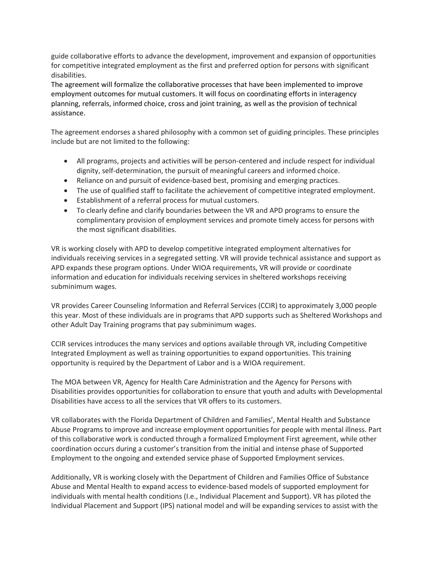guide collaborative efforts to advance the development, improvement and expansion of opportunities for competitive integrated employment as the first and preferred option for persons with significant disabilities.

The agreement will formalize the collaborative processes that have been implemented to improve employment outcomes for mutual customers. It will focus on coordinating efforts in interagency planning, referrals, informed choice, cross and joint training, as well as the provision of technical assistance.

The agreement endorses a shared philosophy with a common set of guiding principles. These principles include but are not limited to the following:

- All programs, projects and activities will be person-centered and include respect for individual dignity, self-determination, the pursuit of meaningful careers and informed choice.
- Reliance on and pursuit of evidence-based best, promising and emerging practices.
- The use of qualified staff to facilitate the achievement of competitive integrated employment.
- Establishment of a referral process for mutual customers.
- To clearly define and clarify boundaries between the VR and APD programs to ensure the complimentary provision of employment services and promote timely access for persons with the most significant disabilities.

VR is working closely with APD to develop competitive integrated employment alternatives for individuals receiving services in a segregated setting. VR will provide technical assistance and support as APD expands these program options. Under WIOA requirements, VR will provide or coordinate information and education for individuals receiving services in sheltered workshops receiving subminimum wages.

VR provides Career Counseling Information and Referral Services (CCIR) to approximately 3,000 people this year. Most of these individuals are in programs that APD supports such as Sheltered Workshops and other Adult Day Training programs that pay subminimum wages.

CCIR services introduces the many services and options available through VR, including Competitive Integrated Employment as well as training opportunities to expand opportunities. This training opportunity is required by the Department of Labor and is a WIOA requirement.

The MOA between VR, Agency for Health Care Administration and the Agency for Persons with Disabilities provides opportunities for collaboration to ensure that youth and adults with Developmental Disabilities have access to all the services that VR offers to its customers.

VR collaborates with the Florida Department of Children and Families', Mental Health and Substance Abuse Programs to improve and increase employment opportunities for people with mental illness. Part of this collaborative work is conducted through a formalized Employment First agreement, while other coordination occurs during a customer's transition from the initial and intense phase of Supported Employment to the ongoing and extended service phase of Supported Employment services.

Additionally, VR is working closely with the Department of Children and Families Office of Substance Abuse and Mental Health to expand access to evidence-based models of supported employment for individuals with mental health conditions (I.e., Individual Placement and Support). VR has piloted the Individual Placement and Support (IPS) national model and will be expanding services to assist with the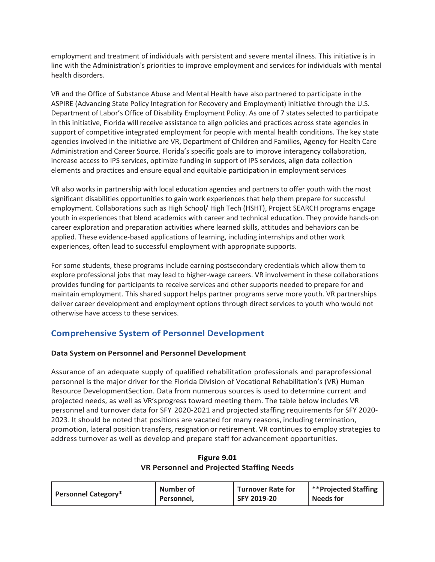employment and treatment of individuals with persistent and severe mental illness. This initiative is in line with the Administration's priorities to improve employment and services for individuals with mental health disorders.

VR and the Office of Substance Abuse and Mental Health have also partnered to participate in the ASPIRE (Advancing State Policy Integration for Recovery and Employment) initiative through the U.S. Department of Labor's Office of Disability Employment Policy. As one of 7 states selected to participate in this initiative, Florida will receive assistance to align policies and practices across state agencies in support of competitive integrated employment for people with mental health conditions. The key state agencies involved in the initiative are VR, Department of Children and Families, Agency for Health Care Administration and Career Source. Florida's specific goals are to improve interagency collaboration, increase access to IPS services, optimize funding in support of IPS services, align data collection elements and practices and ensure equal and equitable participation in employment services

VR also works in partnership with local education agencies and partners to offer youth with the most significant disabilities opportunities to gain work experiences that help them prepare for successful employment. Collaborations such as High School/ High Tech (HSHT), Project SEARCH programs engage youth in experiences that blend academics with career and technical education. They provide hands-on career exploration and preparation activities where learned skills, attitudes and behaviors can be applied. These evidence-based applications of learning, including internships and other work experiences, often lead to successful employment with appropriate supports.

For some students, these programs include earning postsecondary credentials which allow them to explore professional jobs that may lead to higher-wage careers. VR involvement in these collaborations provides funding for participants to receive services and other supports needed to prepare for and maintain employment. This shared support helps partner programs serve more youth. VR partnerships deliver career development and employment options through direct services to youth who would not otherwise have access to these services.

# **Comprehensive System of Personnel Development**

# **Data System on Personnel and Personnel Development**

Assurance of an adequate supply of qualified rehabilitation professionals and paraprofessional personnel is the major driver for the Florida Division of Vocational Rehabilitation's (VR) Human Resource Development Section. Data from numerous sources is used to determine current and projected needs, as well as VR'sprogress toward meeting them. The table below includes VR personnel and turnover data for SFY 2020-2021 and projected staffing requirements for SFY 2020- 2023. It should be noted that positions are vacated for many reasons, including termination, promotion, lateral position transfers, resignation or retirement. VR continues to employ strategies to address turnover as well as develop and prepare staff for advancement opportunities.

### **Figure 9.01 VR Personnel and Projected Staffing Needs**

|                            | Number of  | <b>Turnover Rate for</b> | **Projected Staffing |
|----------------------------|------------|--------------------------|----------------------|
| <b>Personnel Category*</b> | Personnel, | SFY 2019-20              | <b>Needs for</b>     |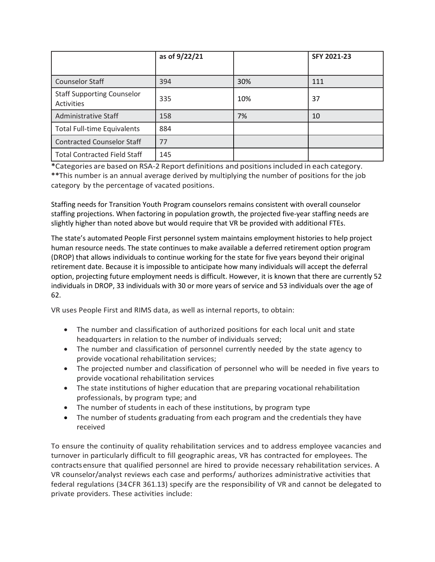|                                                 | as of 9/22/21 |     | <b>SFY 2021-23</b> |
|-------------------------------------------------|---------------|-----|--------------------|
|                                                 |               |     |                    |
| <b>Counselor Staff</b>                          | 394           | 30% | 111                |
| <b>Staff Supporting Counselor</b><br>Activities | 335           | 10% | 37                 |
| Administrative Staff                            | 158           | 7%  | 10                 |
| <b>Total Full-time Equivalents</b>              | 884           |     |                    |
| <b>Contracted Counselor Staff</b>               | 77            |     |                    |
| <b>Total Contracted Field Staff</b>             | 145           |     |                    |

**\***Categories are based on RSA-2 Report definitions and positionsincluded in each category. **\*\***This number is an annual average derived by multiplying the number of positions for the job category by the percentage of vacated positions.

Staffing needs for Transition Youth Program counselors remains consistent with overall counselor staffing projections. When factoring in population growth, the projected five-year staffing needs are slightly higher than noted above but would require that VR be provided with additional FTEs.

The state's automated People First personnel system maintains employment histories to help project human resource needs. The state continues to make available a deferred retirement option program (DROP) that allows individuals to continue working for the state for five years beyond their original retirement date. Because it is impossible to anticipate how many individuals will accept the deferral option, projecting future employment needs is difficult. However, it is known that there are currently 52 individuals in DROP, 33 individuals with 30 or more years of service and 53 individuals over the age of 62.

VR uses People First and RIMS data, as well as internal reports, to obtain:

- The number and classification of authorized positions for each local unit and state headquarters in relation to the number of individuals served;
- The number and classification of personnel currently needed by the state agency to provide vocational rehabilitation services;
- The projected number and classification of personnel who will be needed in five years to provide vocational rehabilitation services
- The state institutions of higher education that are preparing vocational rehabilitation professionals, by program type; and
- The number of students in each of these institutions, by program type
- The number of students graduating from each program and the credentials they have received

To ensure the continuity of quality rehabilitation services and to address employee vacancies and turnover in particularly difficult to fill geographic areas, VR has contracted for employees. The contractsensure that qualified personnel are hired to provide necessary rehabilitation services. A VR counselor/analyst reviews each case and performs/ authorizes administrative activities that federal regulations (34CFR 361.13) specify are the responsibility of VR and cannot be delegated to private providers. These activities include: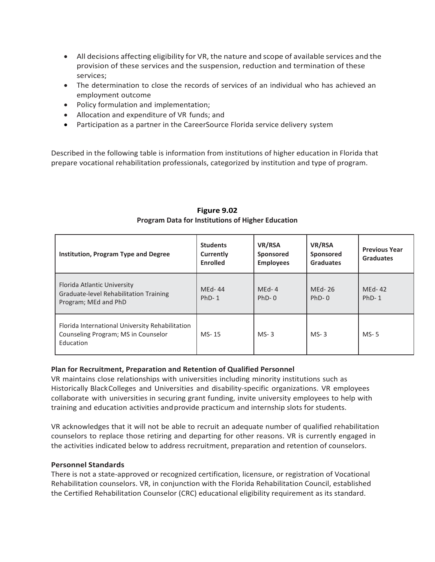- All decisions affecting eligibility for VR, the nature and scope of available services and the provision of these services and the suspension, reduction and termination of these services;
- The determination to close the records of services of an individual who has achieved an employment outcome
- Policy formulation and implementation;
- Allocation and expenditure of VR funds; and
- Participation as a partner in the CareerSource Florida service delivery system

Described in the following table is information from institutions of higher education in Florida that prepare vocational rehabilitation professionals, categorized by institution and type of program.

| Institution, Program Type and Degree                                                                | <b>Students</b><br>Currently<br><b>Enrolled</b> | VR/RSA<br>Sponsored<br><b>Employees</b> | VR/RSA<br>Sponsored<br><b>Graduates</b> | <b>Previous Year</b><br><b>Graduates</b> |
|-----------------------------------------------------------------------------------------------------|-------------------------------------------------|-----------------------------------------|-----------------------------------------|------------------------------------------|
| Florida Atlantic University<br>Graduate-level Rehabilitation Training<br>Program; MEd and PhD       | MEd-44<br>$PhD-1$                               | $MEd-4$<br>$PhD-0$                      | MEd-26<br>$PhD-0$                       | MEd-42<br>$PhD-1$                        |
| Florida International University Rehabilitation<br>Counseling Program; MS in Counselor<br>Education | MS-15                                           | $MS-3$                                  | $MS-3$                                  | $MS-5$                                   |

# **Figure 9.02 Program Data for Institutions of Higher Education**

### **Plan for Recruitment, Preparation and Retention of Qualified Personnel**

VR maintains close relationships with universities including minority institutions such as Historically BlackColleges and Universities and disability-specific organizations. VR employees collaborate with universities in securing grant funding, invite university employees to help with training and education activities andprovide practicum and internship slots for students.

VR acknowledges that it will not be able to recruit an adequate number of qualified rehabilitation counselors to replace those retiring and departing for other reasons. VR is currently engaged in the activities indicated below to address recruitment, preparation and retention of counselors.

### **Personnel Standards**

There is not a state-approved or recognized certification, licensure, or registration of Vocational Rehabilitation counselors. VR, in conjunction with the Florida Rehabilitation Council, established the Certified Rehabilitation Counselor (CRC) educational eligibility requirement as its standard.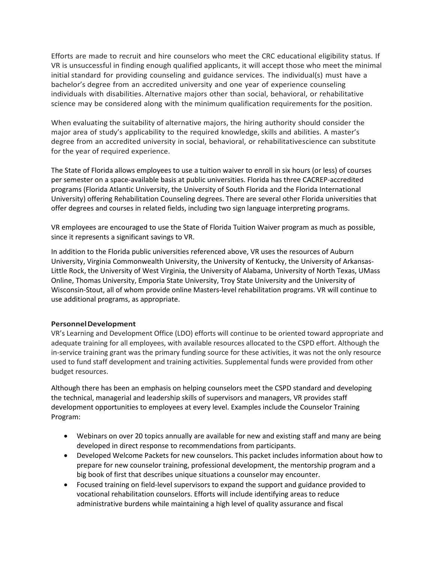Efforts are made to recruit and hire counselors who meet the CRC educational eligibility status. If VR is unsuccessful in finding enough qualified applicants, it will accept those who meet the minimal initial standard for providing counseling and guidance services. The individual(s) must have a bachelor's degree from an accredited university and one year of experience counseling individuals with disabilities. Alternative majors other than social, behavioral, or rehabilitative science may be considered along with the minimum qualification requirements for the position.

When evaluating the suitability of alternative majors, the hiring authority should consider the major area of study's applicability to the required knowledge, skills and abilities. A master's degree from an accredited university in social, behavioral, or rehabilitativescience can substitute for the year of required experience.

The State of Florida allows employees to use a tuition waiver to enroll in six hours (or less) of courses per semester on a space-available basis at public universities. Florida has three CACREP-accredited programs (Florida Atlantic University, the University of South Florida and the Florida International University) offering Rehabilitation Counseling degrees. There are several other Florida universities that offer degrees and courses in related fields, including two sign language interpreting programs.

VR employees are encouraged to use the State of Florida Tuition Waiver program as much as possible, since it represents a significant savings to VR.

In addition to the Florida public universities referenced above, VR uses the resources of Auburn University, Virginia Commonwealth University, the University of Kentucky, the University of Arkansas-Little Rock, the University of West Virginia, the University of Alabama, University of North Texas, UMass Online, Thomas University, Emporia State University, Troy State University and the University of Wisconsin-Stout, all of whom provide online Masters-level rehabilitation programs. VR will continue to use additional programs, as appropriate.

### **PersonnelDevelopment**

VR's Learning and Development Office (LDO) efforts will continue to be oriented toward appropriate and adequate training for all employees, with available resources allocated to the CSPD effort. Although the in-service training grant was the primary funding source for these activities, it was not the only resource used to fund staff development and training activities. Supplemental funds were provided from other budget resources.

Although there has been an emphasis on helping counselors meet the CSPD standard and developing the technical, managerial and leadership skills of supervisors and managers, VR provides staff development opportunities to employees at every level. Examples include the Counselor Training Program:

- Webinars on over 20 topics annually are available for new and existing staff and many are being developed in direct response to recommendations from participants.
- Developed Welcome Packets for new counselors. This packet includes information about how to prepare for new counselor training, professional development, the mentorship program and a big book of first that describes unique situations a counselor may encounter.
- Focused training on field-level supervisors to expand the support and guidance provided to vocational rehabilitation counselors. Efforts will include identifying areas to reduce administrative burdens while maintaining a high level of quality assurance and fiscal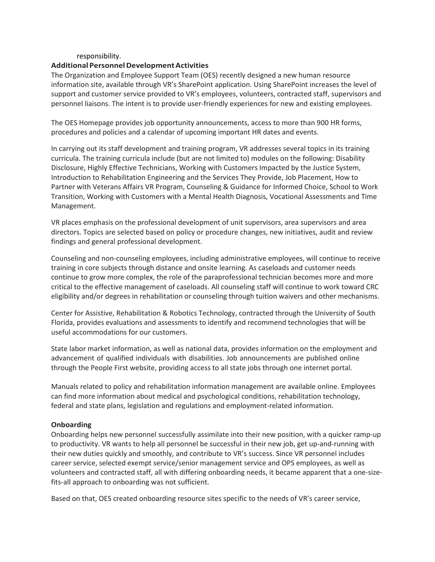#### responsibility.

#### **Additional PersonnelDevelopmentActivities**

The Organization and Employee Support Team (OES) recently designed a new human resource information site, available through VR's SharePoint application. Using SharePoint increases the level of support and customer service provided to VR's employees, volunteers, contracted staff, supervisors and personnel liaisons. The intent is to provide user-friendly experiences for new and existing employees.

The OES Homepage provides job opportunity announcements, access to more than 900 HR forms, procedures and policies and a calendar of upcoming important HR dates and events.

In carrying out its staff development and training program, VR addresses several topics in its training curricula. The training curricula include (but are not limited to) modules on the following: Disability Disclosure, Highly Effective Technicians, Working with Customers Impacted by the Justice System, Introduction to Rehabilitation Engineering and the Services They Provide, Job Placement, How to Partner with Veterans Affairs VR Program, Counseling & Guidance for Informed Choice, School to Work Transition, Working with Customers with a Mental Health Diagnosis, Vocational Assessments and Time Management.

VR places emphasis on the professional development of unit supervisors, area supervisors and area directors. Topics are selected based on policy or procedure changes, new initiatives, audit and review findings and general professional development.

Counseling and non-counseling employees, including administrative employees, will continue to receive training in core subjects through distance and onsite learning. As caseloads and customer needs continue to grow more complex, the role of the paraprofessional technician becomes more and more critical to the effective management of caseloads. All counseling staff will continue to work toward CRC eligibility and/or degrees in rehabilitation or counseling through tuition waivers and other mechanisms.

Center for Assistive, Rehabilitation & Robotics Technology, contracted through the University of South Florida, provides evaluations and assessments to identify and recommend technologies that will be useful accommodations for our customers.

State labor market information, as well as national data, provides information on the employment and advancement of qualified individuals with disabilities. Job announcements are published online through the People First website, providing access to all state jobs through one internet portal.

Manuals related to policy and rehabilitation information management are available online. Employees can find more information about medical and psychological conditions, rehabilitation technology, federal and state plans, legislation and regulations and employment-related information.

#### **Onboarding**

Onboarding helps new personnel successfully assimilate into their new position, with a quicker ramp-up to productivity. VR wants to help all personnel be successful in their new job, get up-and-running with their new duties quickly and smoothly, and contribute to VR's success. Since VR personnel includes career service, selected exempt service/senior management service and OPS employees, as well as volunteers and contracted staff, all with differing onboarding needs, it became apparent that a one-sizefits-all approach to onboarding was not sufficient.

Based on that, OES created onboarding resource sites specific to the needs of VR's career service,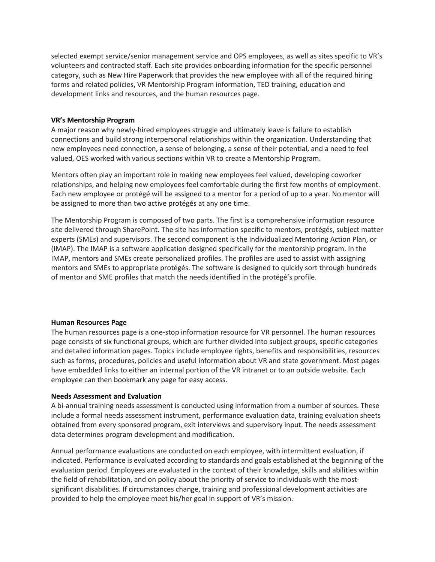selected exempt service/senior management service and OPS employees, as well as sites specific to VR's volunteers and contracted staff. Each site provides onboarding information for the specific personnel category, such as New Hire Paperwork that provides the new employee with all of the required hiring forms and related policies, VR Mentorship Program information, TED training, education and development links and resources, and the human resources page.

### **VR's Mentorship Program**

A major reason why newly-hired employees struggle and ultimately leave is failure to establish connections and build strong interpersonal relationships within the organization. Understanding that new employees need connection, a sense of belonging, a sense of their potential, and a need to feel valued, OES worked with various sections within VR to create a Mentorship Program.

Mentors often play an important role in making new employees feel valued, developing coworker relationships, and helping new employees feel comfortable during the first few months of employment. Each new employee or protégé will be assigned to a mentor for a period of up to a year. No mentor will be assigned to more than two active protégés at any one time.

The Mentorship Program is composed of two parts. The first is a comprehensive information resource site delivered through SharePoint. The site has information specific to mentors, protégés, subject matter experts (SMEs) and supervisors. The second component is the Individualized Mentoring Action Plan, or (IMAP). The IMAP is a software application designed specifically for the mentorship program. In the IMAP, mentors and SMEs create personalized profiles. The profiles are used to assist with assigning mentors and SMEs to appropriate protégés. The software is designed to quickly sort through hundreds of mentor and SME profiles that match the needs identified in the protégé's profile.

### **Human Resources Page**

The human resources page is a one-stop information resource for VR personnel. The human resources page consists of six functional groups, which are further divided into subject groups, specific categories and detailed information pages. Topics include employee rights, benefits and responsibilities, resources such as forms, procedures, policies and useful information about VR and state government. Most pages have embedded links to either an internal portion of the VR intranet or to an outside website. Each employee can then bookmark any page for easy access.

### **Needs Assessment and Evaluation**

A bi-annual training needs assessment is conducted using information from a number of sources. These include a formal needs assessment instrument, performance evaluation data, training evaluation sheets obtained from every sponsored program, exit interviews and supervisory input. The needs assessment data determines program development and modification.

Annual performance evaluations are conducted on each employee, with intermittent evaluation, if indicated. Performance is evaluated according to standards and goals established at the beginning of the evaluation period. Employees are evaluated in the context of their knowledge, skills and abilities within the field of rehabilitation, and on policy about the priority of service to individuals with the mostsignificant disabilities. If circumstances change, training and professional development activities are provided to help the employee meet his/her goal in support of VR's mission.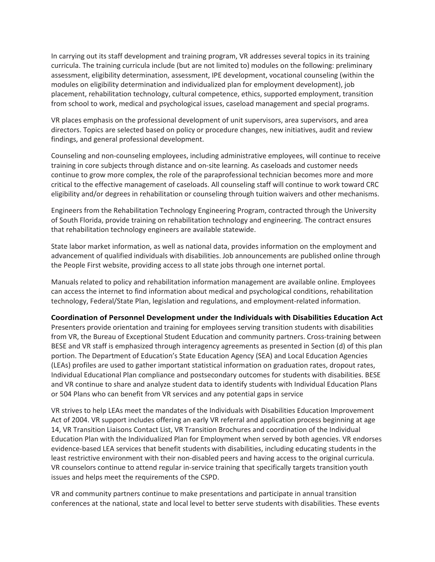In carrying out its staff development and training program, VR addresses several topics in its training curricula. The training curricula include (but are not limited to) modules on the following: preliminary assessment, eligibility determination, assessment, IPE development, vocational counseling (within the modules on eligibility determination and individualized plan for employment development), job placement, rehabilitation technology, cultural competence, ethics, supported employment, transition from school to work, medical and psychological issues, caseload management and special programs.

VR places emphasis on the professional development of unit supervisors, area supervisors, and area directors. Topics are selected based on policy or procedure changes, new initiatives, audit and review findings, and general professional development.

Counseling and non-counseling employees, including administrative employees, will continue to receive training in core subjects through distance and on-site learning. As caseloads and customer needs continue to grow more complex, the role of the paraprofessional technician becomes more and more critical to the effective management of caseloads. All counseling staff will continue to work toward CRC eligibility and/or degrees in rehabilitation or counseling through tuition waivers and other mechanisms.

Engineers from the Rehabilitation Technology Engineering Program, contracted through the University of South Florida, provide training on rehabilitation technology and engineering. The contract ensures that rehabilitation technology engineers are available statewide.

State labor market information, as well as national data, provides information on the employment and advancement of qualified individuals with disabilities. Job announcements are published online through the People First website, providing access to all state jobs through one internet portal.

Manuals related to policy and rehabilitation information management are available online. Employees can access the internet to find information about medical and psychological conditions, rehabilitation technology, Federal/State Plan, legislation and regulations, and employment-related information.

#### **Coordination of Personnel Development under the Individuals with Disabilities Education Act**

Presenters provide orientation and training for employees serving transition students with disabilities from VR, the Bureau of Exceptional Student Education and community partners. Cross-training between BESE and VR staff is emphasized through interagency agreements as presented in Section (d) of this plan portion. The Department of Education's State Education Agency (SEA) and Local Education Agencies (LEAs) profiles are used to gather important statistical information on graduation rates, dropout rates, Individual Educational Plan compliance and postsecondary outcomes for students with disabilities. BESE and VR continue to share and analyze student data to identify students with Individual Education Plans or 504 Plans who can benefit from VR services and any potential gaps in service

VR strives to help LEAs meet the mandates of the Individuals with Disabilities Education Improvement Act of 2004. VR support includes offering an early VR referral and application process beginning at age 14, VR Transition Liaisons Contact List, VR Transition Brochures and coordination of the Individual Education Plan with the Individualized Plan for Employment when served by both agencies. VR endorses evidence-based LEA services that benefit students with disabilities, including educating students in the least restrictive environment with their non-disabled peers and having access to the original curricula. VR counselors continue to attend regular in-service training that specifically targets transition youth issues and helps meet the requirements of the CSPD.

VR and community partners continue to make presentations and participate in annual transition conferences at the national, state and local level to better serve students with disabilities. These events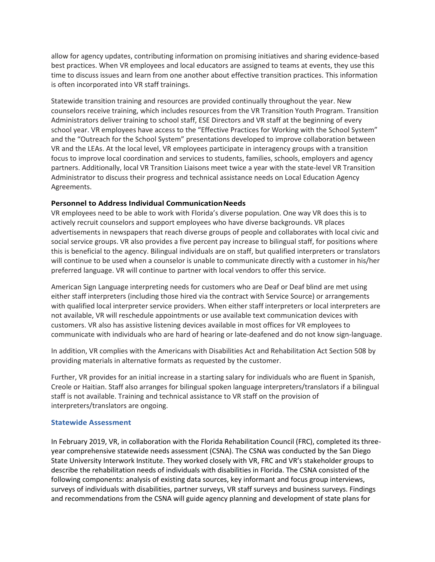allow for agency updates, contributing information on promising initiatives and sharing evidence-based best practices. When VR employees and local educators are assigned to teams at events, they use this time to discuss issues and learn from one another about effective transition practices. This information is often incorporated into VR staff trainings.

Statewide transition training and resources are provided continually throughout the year. New counselors receive training, which includes resources from the VR Transition Youth Program. Transition Administrators deliver training to school staff, ESE Directors and VR staff at the beginning of every school year. VR employees have access to the "Effective Practices for Working with the School System" and the "Outreach for the School System" presentations developed to improve collaboration between VR and the LEAs. At the local level, VR employees participate in interagency groups with a transition focus to improve local coordination and services to students, families, schools, employers and agency partners. Additionally, local VR Transition Liaisons meet twice a year with the state-level VR Transition Administrator to discuss their progress and technical assistance needs on Local Education Agency Agreements.

### **Personnel to Address Individual Communication Needs**

VR employees need to be able to work with Florida's diverse population. One way VR does this is to actively recruit counselors and support employees who have diverse backgrounds. VR places advertisements in newspapers that reach diverse groups of people and collaborates with local civic and social service groups. VR also provides a five percent pay increase to bilingual staff, for positions where this is beneficial to the agency. Bilingual individuals are on staff, but qualified interpreters or translators will continue to be used when a counselor is unable to communicate directly with a customer in his/her preferred language. VR will continue to partner with local vendors to offer this service.

American Sign Language interpreting needs for customers who are Deaf or Deaf blind are met using either staff interpreters (including those hired via the contract with Service Source) or arrangements with qualified local interpreter service providers. When either staff interpreters or local interpreters are not available, VR will reschedule appointments or use available text communication devices with customers. VR also has assistive listening devices available in most offices for VR employees to communicate with individuals who are hard of hearing or late-deafened and do not know sign-language.

In addition, VR complies with the Americans with Disabilities Act and Rehabilitation Act Section 508 by providing materials in alternative formats as requested by the customer.

Further, VR provides for an initial increase in a starting salary for individuals who are fluent in Spanish, Creole or Haitian. Staff also arranges for bilingual spoken language interpreters/translators if a bilingual staff is not available. Training and technical assistance to VR staff on the provision of interpreters/translators are ongoing.

### **Statewide Assessment**

In February 2019, VR, in collaboration with the Florida Rehabilitation Council (FRC), completed its threeyear comprehensive statewide needs assessment (CSNA). The CSNA was conducted by the San Diego State University Interwork Institute. They worked closely with VR, FRC and VR's stakeholder groups to describe the rehabilitation needs of individuals with disabilities in Florida. The CSNA consisted of the following components: analysis of existing data sources, key informant and focus group interviews, surveys of individuals with disabilities, partner surveys, VR staff surveys and business surveys. Findings and recommendations from the CSNA will guide agency planning and development of state plans for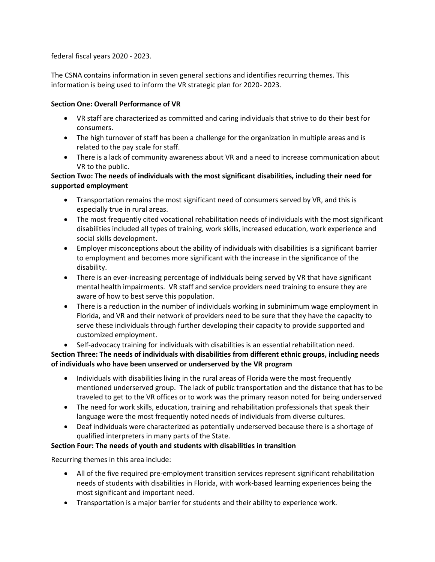federal fiscal years 2020 - 2023.

The CSNA contains information in seven general sections and identifies recurring themes. This information is being used to inform the VR strategic plan for 2020- 2023.

# **Section One: Overall Performance of VR**

- VR staff are characterized as committed and caring individuals that strive to do their best for consumers.
- The high turnover of staff has been a challenge for the organization in multiple areas and is related to the pay scale for staff.
- There is a lack of community awareness about VR and a need to increase communication about VR to the public.

# **Section Two: The needs of individuals with the most significant disabilities, including their need for supported employment**

- Transportation remains the most significant need of consumers served by VR, and this is especially true in rural areas.
- The most frequently cited vocational rehabilitation needs of individuals with the most significant disabilities included all types of training, work skills, increased education, work experience and social skills development.
- Employer misconceptions about the ability of individuals with disabilities is a significant barrier to employment and becomes more significant with the increase in the significance of the disability.
- There is an ever-increasing percentage of individuals being served by VR that have significant mental health impairments. VR staff and service providers need training to ensure they are aware of how to best serve this population.
- There is a reduction in the number of individuals working in subminimum wage employment in Florida, and VR and their network of providers need to be sure that they have the capacity to serve these individuals through further developing their capacity to provide supported and customized employment.

• Self-advocacy training for individuals with disabilities is an essential rehabilitation need.

**Section Three: The needs of individuals with disabilities from different ethnic groups, including needs of individuals who have been unserved or underserved by the VR program**

- Individuals with disabilities living in the rural areas of Florida were the most frequently mentioned underserved group. The lack of public transportation and the distance that has to be traveled to get to the VR offices or to work was the primary reason noted for being underserved
- The need for work skills, education, training and rehabilitation professionals that speak their language were the most frequently noted needs of individuals from diverse cultures.
- Deaf individuals were characterized as potentially underserved because there is a shortage of qualified interpreters in many parts of the State.

# **Section Four: The needs of youth and students with disabilities in transition**

Recurring themes in this area include:

- All of the five required pre-employment transition services represent significant rehabilitation needs of students with disabilities in Florida, with work-based learning experiences being the most significant and important need.
- Transportation is a major barrier for students and their ability to experience work.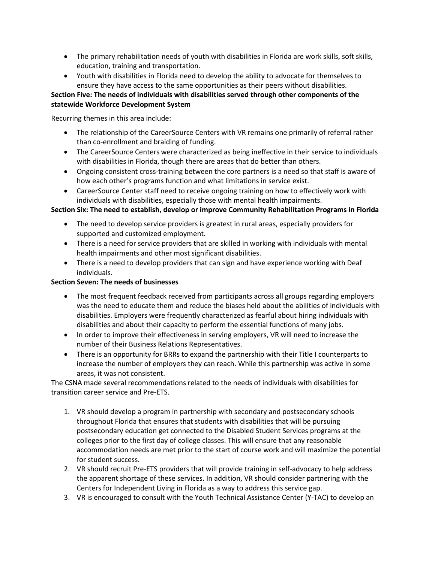- The primary rehabilitation needs of youth with disabilities in Florida are work skills, soft skills, education, training and transportation.
- Youth with disabilities in Florida need to develop the ability to advocate for themselves to ensure they have access to the same opportunities as their peers without disabilities.

# **Section Five: The needs of individuals with disabilities served through other components of the statewide Workforce Development System**

Recurring themes in this area include:

- The relationship of the CareerSource Centers with VR remains one primarily of referral rather than co-enrollment and braiding of funding.
- The CareerSource Centers were characterized as being ineffective in their service to individuals with disabilities in Florida, though there are areas that do better than others.
- Ongoing consistent cross-training between the core partners is a need so that staff is aware of how each other's programs function and what limitations in service exist.
- CareerSource Center staff need to receive ongoing training on how to effectively work with individuals with disabilities, especially those with mental health impairments.

# **Section Six: The need to establish, develop or improve Community Rehabilitation Programs in Florida**

- The need to develop service providers is greatest in rural areas, especially providers for supported and customized employment.
- There is a need for service providers that are skilled in working with individuals with mental health impairments and other most significant disabilities.
- There is a need to develop providers that can sign and have experience working with Deaf individuals.

### **Section Seven: The needs of businesses**

- The most frequent feedback received from participants across all groups regarding employers was the need to educate them and reduce the biases held about the abilities of individuals with disabilities. Employers were frequently characterized as fearful about hiring individuals with disabilities and about their capacity to perform the essential functions of many jobs.
- In order to improve their effectiveness in serving employers, VR will need to increase the number of their Business Relations Representatives.
- There is an opportunity for BRRs to expand the partnership with their Title I counterparts to increase the number of employers they can reach. While this partnership was active in some areas, it was not consistent.

The CSNA made several recommendations related to the needs of individuals with disabilities for transition career service and Pre-ETS.

- 1. VR should develop a program in partnership with secondary and postsecondary schools throughout Florida that ensures that students with disabilities that will be pursuing postsecondary education get connected to the Disabled Student Services programs at the colleges prior to the first day of college classes. This will ensure that any reasonable accommodation needs are met prior to the start of course work and will maximize the potential for student success.
- 2. VR should recruit Pre-ETS providers that will provide training in self-advocacy to help address the apparent shortage of these services. In addition, VR should consider partnering with the Centers for Independent Living in Florida as a way to address this service gap.
- 3. VR is encouraged to consult with the Youth Technical Assistance Center (Y-TAC) to develop an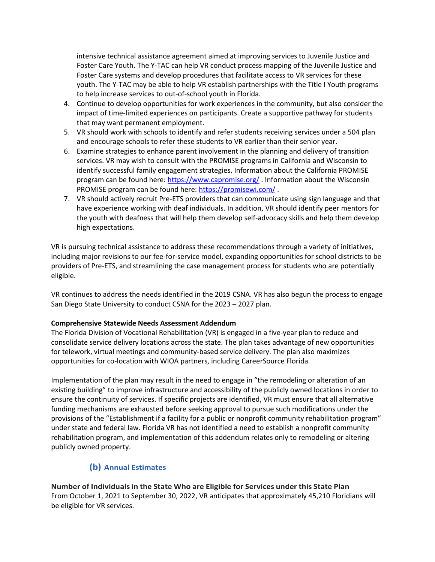intensive technical assistance agreement aimed at improving services to Juvenile Justice and Foster Care Youth. The Y-TAC can help VR conduct process mapping of the Juvenile Justice and Foster Care systems and develop procedures that facilitate access to VR services for these youth. The Y-TAC may be able to help VR establish partnerships with the Title I Youth programs to help increase services to out-of-school youth in Florida.

- 4. Continue to develop opportunities for work experiences in the community, but also consider the impact of time-limited experiences on participants. Create a supportive pathway for students that may want permanent employment.
- 5. VR should work with schools to identify and refer students receiving services under a 504 plan and encourage schools to refer these students to VR earlier than their senior year.
- 6. Examine strategies to enhance parent involvement in the planning and delivery of transition services. VR may wish to consult with the PROMISE programs in California and Wisconsin to identify successful family engagement strategies. Information about the California PROMISE program can be found here:<https://www.capromise.org/> . Information about the Wisconsin PROMISE program can be found here:<https://promisewi.com/>.
- 7. VR should actively recruit Pre-ETS providers that can communicate using sign language and that have experience working with deaf individuals. In addition, VR should identify peer mentors for the youth with deafness that will help them develop self-advocacy skills and help them develop high expectations.

VR is pursuing technical assistance to address these recommendations through a variety of initiatives, including major revisions to our fee-for-service model, expanding opportunities for school districts to be providers of Pre-ETS, and streamlining the case management process for students who are potentially eligible.

VR continues to address the needs identified in the 2019 CSNA. VR has also begun the process to engage San Diego State University to conduct CSNA for the 2023 – 2027 plan.

### **Comprehensive Statewide Needs Assessment Addendum**

The Florida Division of Vocational Rehabilitation (VR) is engaged in a five-year plan to reduce and consolidate service delivery locations across the state. The plan takes advantage of new opportunities for telework, virtual meetings and community-based service delivery. The plan also maximizes opportunities for co-location with WIOA partners, including CareerSource Florida.

Implementation of the plan may result in the need to engage in "the remodeling or alteration of an existing building" to improve infrastructure and accessibility of the publicly owned locations in order to ensure the continuity of services. If specific projects are identified, VR must ensure that all alternative funding mechanisms are exhausted before seeking approval to pursue such modifications under the provisions of the "Establishment if a facility for a public or nonprofit community rehabilitation program" under state and federal law. Florida VR has not identified a need to establish a nonprofit community rehabilitation program, and implementation of this addendum relates only to remodeling or altering publicly owned property.

# **(b) Annual Estimates**

**Number of Individualsin the State Who are Eligible for Services under this State Plan** From October 1, 2021 to September 30, 2022, VR anticipates that approximately 45,210 Floridians will be eligible for VR services.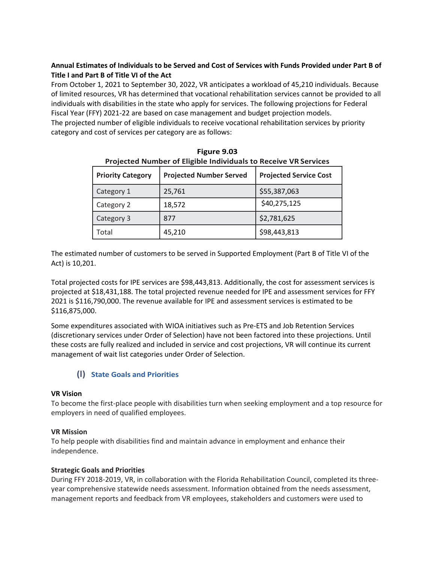# **Annual Estimates of Individuals to be Served and Cost of Services with Funds Provided under Part B of Title I and Part B of Title VI of the Act**

From October 1, 2021 to September 30, 2022, VR anticipates a workload of 45,210 individuals. Because of limited resources, VR has determined that vocational rehabilitation services cannot be provided to all individuals with disabilities in the state who apply for services. The following projections for Federal Fiscal Year (FFY) 2021-22 are based on case management and budget projection models.

The projected number of eligible individuals to receive vocational rehabilitation services by priority category and cost of services per category are as follows:

| <b>Projected Number of Eligible Individuals to Receive VR Services</b> |        |                               |  |
|------------------------------------------------------------------------|--------|-------------------------------|--|
| <b>Projected Number Served</b><br><b>Priority Category</b>             |        | <b>Projected Service Cost</b> |  |
| Category 1                                                             | 25,761 | \$55,387,063                  |  |
| Category 2                                                             | 18,572 | \$40,275,125                  |  |
| Category 3                                                             | 877    | \$2,781,625                   |  |
| Total                                                                  | 45,210 | \$98,443,813                  |  |

| Figure 9.03                                                            |
|------------------------------------------------------------------------|
| <b>Projected Number of Eligible Individuals to Receive VR Services</b> |

The estimated number of customers to be served in Supported Employment (Part B of Title VI of the Act) is 10,201.

Total projected costs for IPE services are \$98,443,813. Additionally, the cost for assessment services is projected at \$18,431,188. The total projected revenue needed for IPE and assessment services for FFY 2021 is \$116,790,000. The revenue available for IPE and assessment services is estimated to be \$116,875,000.

Some expenditures associated with WIOA initiatives such as Pre-ETS and Job Retention Services (discretionary services under Order of Selection) have not been factored into these projections. Until these costs are fully realized and included in service and cost projections, VR will continue its current management of wait list categories under Order of Selection.

# **(l) State Goals and Priorities**

### **VR Vision**

To become the first-place people with disabilities turn when seeking employment and a top resource for employers in need of qualified employees.

### **VR Mission**

To help people with disabilities find and maintain advance in employment and enhance their independence.

### **Strategic Goals and Priorities**

During FFY 2018-2019, VR, in collaboration with the Florida Rehabilitation Council, completed its threeyear comprehensive statewide needs assessment. Information obtained from the needs assessment, management reports and feedback from VR employees, stakeholders and customers were used to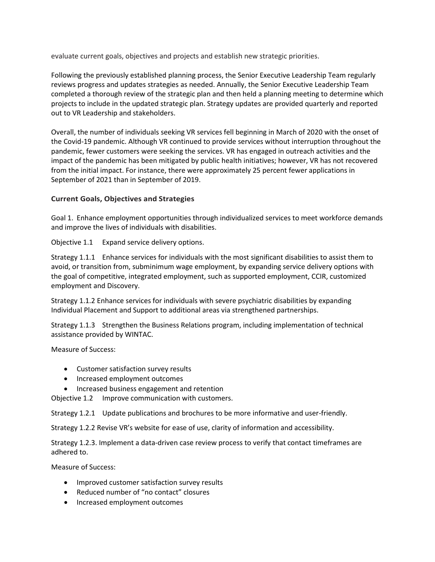evaluate current goals, objectives and projects and establish new strategic priorities.

Following the previously established planning process, the Senior Executive Leadership Team regularly reviews progress and updates strategies as needed. Annually, the Senior Executive Leadership Team completed a thorough review of the strategic plan and then held a planning meeting to determine which projects to include in the updated strategic plan. Strategy updates are provided quarterly and reported out to VR Leadership and stakeholders.

Overall, the number of individuals seeking VR services fell beginning in March of 2020 with the onset of the Covid-19 pandemic. Although VR continued to provide services without interruption throughout the pandemic, fewer customers were seeking the services. VR has engaged in outreach activities and the impact of the pandemic has been mitigated by public health initiatives; however, VR has not recovered from the initial impact. For instance, there were approximately 25 percent fewer applications in September of 2021 than in September of 2019.

# **Current Goals, Objectives and Strategies**

Goal 1. Enhance employment opportunities through individualized services to meet workforce demands and improve the lives of individuals with disabilities.

Objective 1.1 Expand service delivery options.

Strategy 1.1.1 Enhance services for individuals with the most significant disabilities to assist them to avoid, or transition from, subminimum wage employment, by expanding service delivery options with the goal of competitive, integrated employment, such as supported employment, CCIR, customized employment and Discovery.

Strategy 1.1.2 Enhance services for individuals with severe psychiatric disabilities by expanding Individual Placement and Support to additional areas via strengthened partnerships.

Strategy 1.1.3 Strengthen the Business Relations program, including implementation of technical assistance provided by WINTAC.

Measure of Success:

- Customer satisfaction survey results
- Increased employment outcomes
- Increased business engagement and retention

Objective 1.2 Improve communication with customers.

Strategy 1.2.1 Update publications and brochures to be more informative and user-friendly.

Strategy 1.2.2 Revise VR's website for ease of use, clarity of information and accessibility.

Strategy 1.2.3. Implement a data-driven case review process to verify that contact timeframes are adhered to.

Measure of Success:

- Improved customer satisfaction survey results
- Reduced number of "no contact" closures
- Increased employment outcomes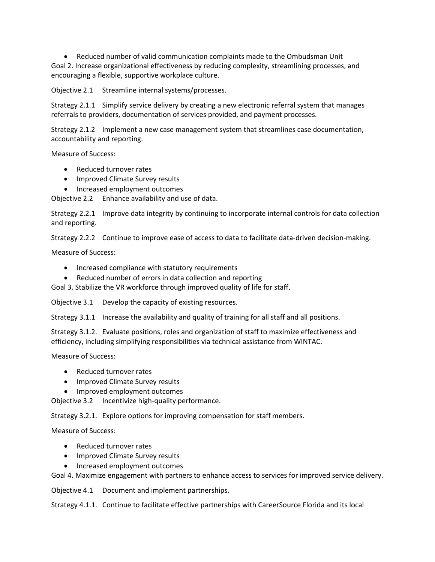• Reduced number of valid communication complaints made to the Ombudsman Unit Goal 2. Increase organizational effectiveness by reducing complexity, streamlining processes, and encouraging a flexible, supportive workplace culture.

Objective 2.1 Streamline internal systems/processes.

Strategy 2.1.1 Simplify service delivery by creating a new electronic referral system that manages referrals to providers, documentation of services provided, and payment processes.

Strategy 2.1.2 Implement a new case management system that streamlines case documentation, accountability and reporting.

Measure of Success:

- Reduced turnover rates
- Improved Climate Survey results
- Increased employment outcomes

Objective 2.2 Enhance availability and use of data.

Strategy 2.2.1 Improve data integrity by continuing to incorporate internal controls for data collection and reporting.

Strategy 2.2.2 Continue to improve ease of access to data to facilitate data-driven decision-making.

Measure of Success:

- Increased compliance with statutory requirements
- Reduced number of errors in data collection and reporting

Goal 3. Stabilize the VR workforce through improved quality of life for staff.

Objective 3.1 Develop the capacity of existing resources.

Strategy 3.1.1 Increase the availability and quality of training for all staff and all positions.

Strategy 3.1.2. Evaluate positions, roles and organization of staff to maximize effectiveness and efficiency, including simplifying responsibilities via technical assistance from WINTAC.

Measure of Success:

- Reduced turnover rates
- Improved Climate Survey results
- Improved employment outcomes

Objective 3.2 Incentivize high-quality performance.

Strategy 3.2.1. Explore options for improving compensation for staff members.

Measure of Success:

- Reduced turnover rates
- Improved Climate Survey results
- Increased employment outcomes

Goal 4. Maximize engagement with partners to enhance access to services for improved service delivery.

Objective 4.1 Document and implement partnerships.

Strategy 4.1.1. Continue to facilitate effective partnerships with CareerSource Florida and its local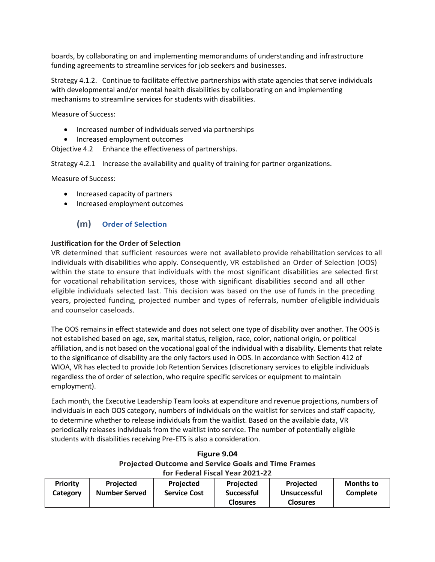boards, by collaborating on and implementing memorandums of understanding and infrastructure funding agreements to streamline services for job seekers and businesses.

Strategy 4.1.2. Continue to facilitate effective partnerships with state agencies that serve individuals with developmental and/or mental health disabilities by collaborating on and implementing mechanisms to streamline services for students with disabilities.

Measure of Success:

- Increased number of individuals served via partnerships
- Increased employment outcomes

Objective 4.2 Enhance the effectiveness of partnerships.

Strategy 4.2.1 Increase the availability and quality of training for partner organizations.

Measure of Success:

- Increased capacity of partners
- Increased employment outcomes

# **(m) Order of Selection**

### **Justification for the Order of Selection**

VR determined that sufficient resources were not availableto provide rehabilitation services to all individuals with disabilities who apply. Consequently, VR established an Order of Selection (OOS) within the state to ensure that individuals with the most significant disabilities are selected first for vocational rehabilitation services, those with significant disabilities second and all other eligible individuals selected last. This decision was based on the use of funds in the preceding years, projected funding, projected number and types of referrals, number ofeligible individuals and counselor caseloads.

The OOS remains in effect statewide and does not select one type of disability over another. The OOS is not established based on age, sex, marital status, religion, race, color, national origin, or political affiliation, and is not based on the vocational goal of the individual with a disability. Elements that relate to the significance of disability are the only factors used in OOS. In accordance with Section 412 of WIOA, VR has elected to provide Job Retention Services (discretionary services to eligible individuals regardless the of order of selection, who require specific services or equipment to maintain employment).

Each month, the Executive Leadership Team looks at expenditure and revenue projections, numbers of individuals in each OOS category, numbers of individuals on the waitlist for services and staff capacity, to determine whether to release individuals from the waitlist. Based on the available data, VR periodically releases individuals from the waitlist into service. The number of potentially eligible students with disabilities receiving Pre-ETS is also a consideration.

# **Figure 9.04 Projected Outcome and Service Goals and Time Frames for Federal Fiscal Year 2021-22**

| Priority | <b>Projected</b>     | Projected           | <b>Projected</b>  | <b>Projected</b>    | <b>Months to</b> |
|----------|----------------------|---------------------|-------------------|---------------------|------------------|
| Category | <b>Number Served</b> | <b>Service Cost</b> | <b>Successful</b> | <b>Unsuccessful</b> | <b>Complete</b>  |
|          |                      |                     | <b>Closures</b>   | <b>Closures</b>     |                  |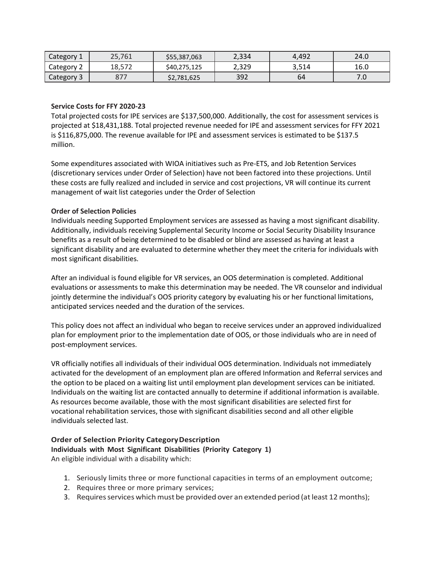| Category 1 | 25,761     | \$55,387,063 | 2,334 | 4.492 | 24.0  |
|------------|------------|--------------|-------|-------|-------|
| Category 2 | 18,572     | \$40,275,125 | 2,329 | 3,514 | 16.0  |
| Category 3 | ロフコ<br>,,, | \$2,781,625  | 392   | 64    | . . U |

### **Service Costs for FFY 2020-23**

Total projected costs for IPE services are \$137,500,000. Additionally, the cost for assessment services is projected at \$18,431,188. Total projected revenue needed for IPE and assessment services for FFY 2021 is \$116,875,000. The revenue available for IPE and assessment services is estimated to be \$137.5 million.

Some expenditures associated with WIOA initiatives such as Pre-ETS, and Job Retention Services (discretionary services under Order of Selection) have not been factored into these projections. Until these costs are fully realized and included in service and cost projections, VR will continue its current management of wait list categories under the Order of Selection

### **Order of Selection Policies**

Individuals needing Supported Employment services are assessed as having a most significant disability. Additionally, individuals receiving Supplemental Security Income or Social Security Disability Insurance benefits as a result of being determined to be disabled or blind are assessed as having at least a significant disability and are evaluated to determine whether they meet the criteria for individuals with most significant disabilities.

After an individual is found eligible for VR services, an OOS determination is completed. Additional evaluations or assessments to make this determination may be needed. The VR counselor and individual jointly determine the individual's OOS priority category by evaluating his or her functional limitations, anticipated services needed and the duration of the services.

This policy does not affect an individual who began to receive services under an approved individualized plan for employment prior to the implementation date of OOS, or those individuals who are in need of post-employment services.

VR officially notifies all individuals of their individual OOS determination. Individuals not immediately activated for the development of an employment plan are offered Information and Referral services and the option to be placed on a waiting list until employment plan development services can be initiated. Individuals on the waiting list are contacted annually to determine if additional information is available. As resources become available, those with the most significant disabilities are selected first for vocational rehabilitation services, those with significant disabilities second and all other eligible individuals selected last.

### **Order of Selection Priority CategoryDescription Individuals with Most Significant Disabilities (Priority Category 1)**  An eligible individual with a disability which:

1. Seriously limits three or more functional capacities in terms of an employment outcome;

- 2. Requires three or more primary services;
- 3. Requires services which must be provided over an extended period (at least 12 months);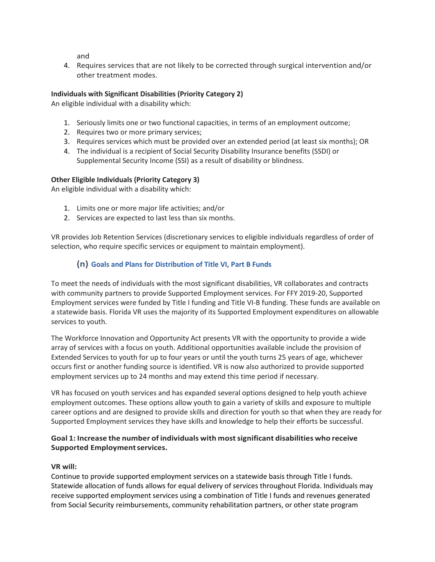and

4. Requires services that are not likely to be corrected through surgical intervention and/or other treatment modes.

# **Individuals with Significant Disabilities (Priority Category 2)**

An eligible individual with a disability which:

- 1. Seriously limits one or two functional capacities, in terms of an employment outcome;
- 2. Requires two or more primary services;
- 3. Requires services which must be provided over an extended period (at least six months); OR
- 4. The individual is a recipient of Social Security Disability Insurance benefits (SSDI) or Supplemental Security Income (SSI) as a result of disability or blindness.

### **Other Eligible Individuals (Priority Category 3)**

An eligible individual with a disability which:

- 1. Limits one or more major life activities; and/or
- 2. Services are expected to last less than six months.

VR provides Job Retention Services (discretionary services to eligible individuals regardless of order of selection, who require specific services or equipment to maintain employment).

# **(n) Goals and Plans for Distribution of Title VI, Part B Funds**

To meet the needs of individuals with the most significant disabilities, VR collaborates and contracts with community partners to provide Supported Employment services. For FFY 2019-20, Supported Employment services were funded by Title I funding and Title VI-B funding. These funds are available on a statewide basis. Florida VR uses the majority of its Supported Employment expenditures on allowable services to youth.

The Workforce Innovation and Opportunity Act presents VR with the opportunity to provide a wide array of services with a focus on youth. Additional opportunities available include the provision of Extended Services to youth for up to four years or until the youth turns 25 years of age, whichever occurs first or another funding source is identified. VR is now also authorized to provide supported employment services up to 24 months and may extend this time period if necessary.

VR has focused on youth services and has expanded several options designed to help youth achieve employment outcomes. These options allow youth to gain a variety of skills and exposure to multiple career options and are designed to provide skills and direction for youth so that when they are ready for Supported Employment services they have skills and knowledge to help their efforts be successful.

# **Goal 1: Increase the number of individuals with mostsignificant disabilities who receive Supported Employmentservices.**

### **VR will:**

Continue to provide supported employment services on a statewide basis through Title I funds. Statewide allocation of funds allows for equal delivery of services throughout Florida. Individuals may receive supported employment services using a combination of Title I funds and revenues generated from Social Security reimbursements, community rehabilitation partners, or other state program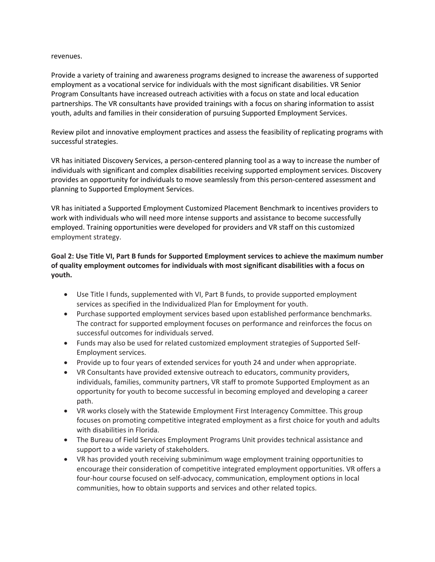#### revenues.

Provide a variety of training and awareness programs designed to increase the awareness of supported employment as a vocational service for individuals with the most significant disabilities. VR Senior Program Consultants have increased outreach activities with a focus on state and local education partnerships. The VR consultants have provided trainings with a focus on sharing information to assist youth, adults and families in their consideration of pursuing Supported Employment Services.

Review pilot and innovative employment practices and assess the feasibility of replicating programs with successful strategies.

VR has initiated Discovery Services, a person-centered planning tool as a way to increase the number of individuals with significant and complex disabilities receiving supported employment services. Discovery provides an opportunity for individuals to move seamlessly from this person-centered assessment and planning to Supported Employment Services.

VR has initiated a Supported Employment Customized Placement Benchmark to incentives providers to work with individuals who will need more intense supports and assistance to become successfully employed. Training opportunities were developed for providers and VR staff on this customized employment strategy.

# **Goal 2: Use Title VI, Part B funds for Supported Employment services to achieve the maximum number of quality employment outcomes for individuals with most significant disabilities with a focus on youth.**

- Use Title I funds, supplemented with VI, Part B funds, to provide supported employment services as specified in the Individualized Plan for Employment for youth.
- Purchase supported employment services based upon established performance benchmarks. The contract for supported employment focuses on performance and reinforces the focus on successful outcomes for individuals served.
- Funds may also be used for related customized employment strategies of Supported Self-Employment services.
- Provide up to four years of extended services for youth 24 and under when appropriate.
- VR Consultants have provided extensive outreach to educators, community providers, individuals, families, community partners, VR staff to promote Supported Employment as an opportunity for youth to become successful in becoming employed and developing a career path.
- VR works closely with the Statewide Employment First Interagency Committee. This group focuses on promoting competitive integrated employment as a first choice for youth and adults with disabilities in Florida.
- The Bureau of Field Services Employment Programs Unit provides technical assistance and support to a wide variety of stakeholders.
- VR has provided youth receiving subminimum wage employment training opportunities to encourage their consideration of competitive integrated employment opportunities. VR offers a four-hour course focused on self-advocacy, communication, employment options in local communities, how to obtain supports and services and other related topics.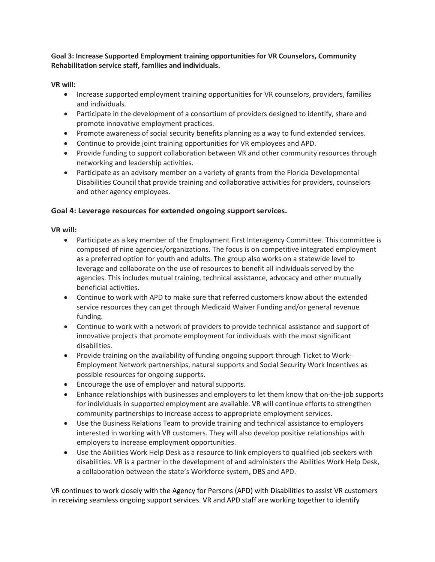**Goal 3: Increase Supported Employment training opportunities for VR Counselors, Community Rehabilitation service staff, families and individuals.**

### **VR will:**

- Increase supported employment training opportunities for VR counselors, providers, families and individuals.
- Participate in the development of a consortium of providers designed to identify, share and promote innovative employment practices.
- Promote awareness of social security benefits planning as a way to fund extended services.
- Continue to provide joint training opportunities for VR employees and APD.
- Provide funding to support collaboration between VR and other community resources through networking and leadership activities.
- Participate as an advisory member on a variety of grants from the Florida Developmental Disabilities Council that provide training and collaborative activities for providers, counselors and other agency employees.

# Goal 4: Leverage resources for extended ongoing support services.

### **VR will:**

- Participate as a key member of the Employment First Interagency Committee. This committee is composed of nine agencies/organizations. The focus is on competitive integrated employment as a preferred option for youth and adults. The group also works on a statewide level to leverage and collaborate on the use of resources to benefit all individuals served by the agencies. This includes mutual training, technical assistance, advocacy and other mutually beneficial activities.
- Continue to work with APD to make sure that referred customers know about the extended service resources they can get through Medicaid Waiver Funding and/or general revenue funding.
- Continue to work with a network of providers to provide technical assistance and support of innovative projects that promote employment for individuals with the most significant disabilities.
- Provide training on the availability of funding ongoing support through Ticket to Work-Employment Network partnerships, natural supports and Social Security Work Incentives as possible resources for ongoing supports.
- Encourage the use of employer and natural supports.
- Enhance relationships with businesses and employers to let them know that on-the-job supports for individuals in supported employment are available. VR will continue efforts to strengthen community partnerships to increase access to appropriate employment services.
- Use the Business Relations Team to provide training and technical assistance to employers interested in working with VR customers. They will also develop positive relationships with employers to increase employment opportunities.
- Use the Abilities Work Help Desk as a resource to link employers to qualified job seekers with disabilities. VR is a partner in the development of and administers the Abilities Work Help Desk, a collaboration between the state's Workforce system, DBS and APD.

VR continues to work closely with the Agency for Persons (APD) with Disabilities to assist VR customers in receiving seamless ongoing support services. VR and APD staff are working together to identify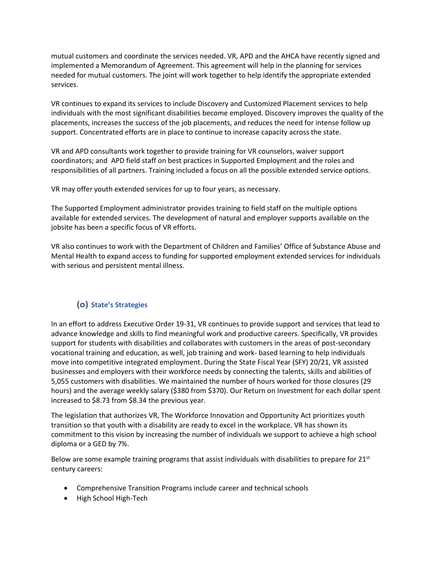mutual customers and coordinate the services needed. VR, APD and the AHCA have recently signed and implemented a Memorandum of Agreement. This agreement will help in the planning for services needed for mutual customers. The joint will work together to help identify the appropriate extended services.

VR continues to expand its services to include Discovery and Customized Placement services to help individuals with the most significant disabilities become employed. Discovery improves the quality of the placements, increases the success of the job placements, and reduces the need for intense follow up support. Concentrated efforts are in place to continue to increase capacity across the state.

VR and APD consultants work together to provide training for VR counselors, waiver support coordinators; and APD field staff on best practices in Supported Employment and the roles and responsibilities of all partners. Training included a focus on all the possible extended service options.

VR may offer youth extended services for up to four years, as necessary.

The Supported Employment administrator provides training to field staff on the multiple options available for extended services. The development of natural and employer supports available on the jobsite has been a specific focus of VR efforts.

VR also continues to work with the Department of Children and Families' Office of Substance Abuse and Mental Health to expand access to funding for supported employment extended services for individuals with serious and persistent mental illness.

# **(o) State's Strategies**

In an effort to address Executive Order 19-31, VR continues to provide support and services that lead to advance knowledge and skills to find meaningful work and productive careers. Specifically, VR provides support for students with disabilities and collaborates with customers in the areas of post-secondary vocational training and education, as well, job training and work- based learning to help individuals move into competitive integrated employment. During the State Fiscal Year (SFY) 20/21, VR assisted businesses and employers with their workforce needs by connecting the talents, skills and abilities of 5,055 customers with disabilities. We maintained the number of hours worked for those closures (29 hours) and the average weekly salary (\$380 from \$370). Our Return on Investment for each dollar spent increased to \$8.73 from \$8.34 the previous year.

The legislation that authorizes VR, The Workforce Innovation and Opportunity Act prioritizes youth transition so that youth with a disability are ready to excel in the workplace. VR has shown its commitment to this vision by increasing the number of individuals we support to achieve a high school diploma or a GED by 7%.

Below are some example training programs that assist individuals with disabilities to prepare for  $21<sup>st</sup>$ century careers:

- Comprehensive Transition Programs include career and technical schools
- High School High-Tech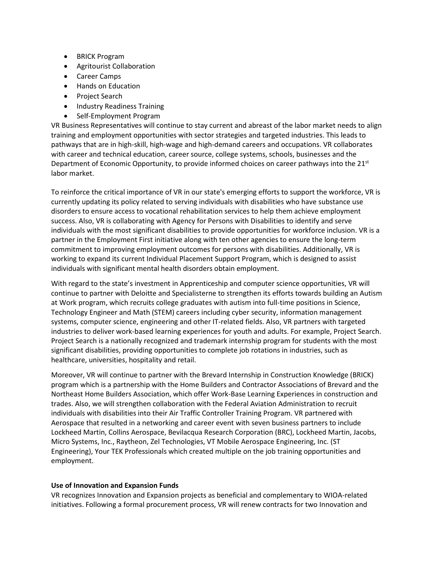- BRICK Program
- Agritourist Collaboration
- Career Camps
- Hands on Education
- Project Search
- Industry Readiness Training
- Self-Employment Program

VR Business Representatives will continue to stay current and abreast of the labor market needs to align training and employment opportunities with sector strategies and targeted industries. This leads to pathways that are in high-skill, high-wage and high-demand careers and occupations. VR collaborates with career and technical education, career source, college systems, schools, businesses and the Department of Economic Opportunity, to provide informed choices on career pathways into the 21<sup>st</sup> labor market.

To reinforce the critical importance of VR in our state's emerging efforts to support the workforce, VR is currently updating its policy related to serving individuals with disabilities who have substance use disorders to ensure access to vocational rehabilitation services to help them achieve employment success. Also, VR is collaborating with Agency for Persons with Disabilities to identify and serve individuals with the most significant disabilities to provide opportunities for workforce inclusion. VR is a partner in the Employment First initiative along with ten other agencies to ensure the long-term commitment to improving employment outcomes for persons with disabilities. Additionally, VR is working to expand its current Individual Placement Support Program, which is designed to assist individuals with significant mental health disorders obtain employment.

With regard to the state's investment in Apprenticeship and computer science opportunities, VR will continue to partner with Deloitte and Specialisterne to strengthen its efforts towards building an Autism at Work program, which recruits college graduates with autism into full-time positions in Science, Technology Engineer and Math (STEM) careers including cyber security, information management systems, computer science, engineering and other IT-related fields. Also, VR partners with targeted industries to deliver work-based learning experiences for youth and adults. For example, Project Search. Project Search is a nationally recognized and trademark internship program for students with the most significant disabilities, providing opportunities to complete job rotations in industries, such as healthcare, universities, hospitality and retail.

Moreover, VR will continue to partner with the Brevard Internship in Construction Knowledge (BRICK) program which is a partnership with the Home Builders and Contractor Associations of Brevard and the Northeast Home Builders Association, which offer Work-Base Learning Experiences in construction and trades. Also, we will strengthen collaboration with the Federal Aviation Administration to recruit individuals with disabilities into their Air Traffic Controller Training Program. VR partnered with Aerospace that resulted in a networking and career event with seven business partners to include Lockheed Martin, Collins Aerospace, Bevilacqua Research Corporation (BRC), Lockheed Martin, Jacobs, Micro Systems, Inc., Raytheon, Zel Technologies, VT Mobile Aerospace Engineering, Inc. (ST Engineering), Your TEK Professionals which created multiple on the job training opportunities and employment.

### **Use of Innovation and Expansion Funds**

VR recognizes Innovation and Expansion projects as beneficial and complementary to WIOA-related initiatives. Following a formal procurement process, VR will renew contracts for two Innovation and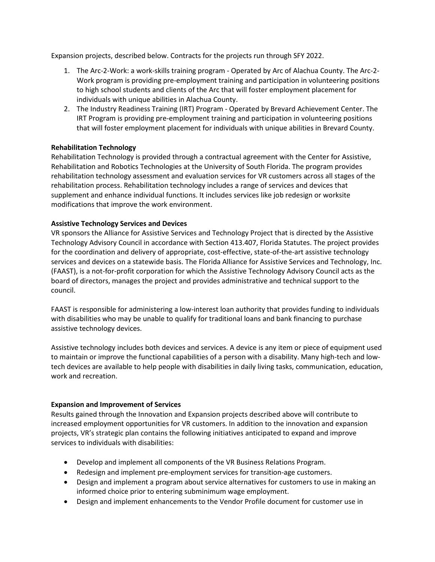Expansion projects, described below. Contracts for the projects run through SFY 2022.

- 1. The Arc-2-Work: a work-skills training program Operated by Arc of Alachua County. The Arc-2- Work program is providing pre-employment training and participation in volunteering positions to high school students and clients of the Arc that will foster employment placement for individuals with unique abilities in Alachua County.
- 2. The Industry Readiness Training (IRT) Program Operated by Brevard Achievement Center. The IRT Program is providing pre-employment training and participation in volunteering positions that will foster employment placement for individuals with unique abilities in Brevard County.

# **Rehabilitation Technology**

Rehabilitation Technology is provided through a contractual agreement with the Center for Assistive, Rehabilitation and Robotics Technologies at the University of South Florida. The program provides rehabilitation technology assessment and evaluation services for VR customers across all stages of the rehabilitation process. Rehabilitation technology includes a range of services and devices that supplement and enhance individual functions. It includes services like job redesign or worksite modifications that improve the work environment.

### **Assistive Technology Services and Devices**

VR sponsors the Alliance for Assistive Services and Technology Project that is directed by the Assistive Technology Advisory Council in accordance with Section 413.407, Florida Statutes. The project provides for the coordination and delivery of appropriate, cost-effective, state-of-the-art assistive technology services and devices on a statewide basis. The Florida Alliance for Assistive Services and Technology, Inc. (FAAST), is a not-for-profit corporation for which the Assistive Technology Advisory Council acts as the board of directors, manages the project and provides administrative and technical support to the council.

FAAST is responsible for administering a low-interest loan authority that provides funding to individuals with disabilities who may be unable to qualify for traditional loans and bank financing to purchase assistive technology devices.

Assistive technology includes both devices and services. A device is any item or piece of equipment used to maintain or improve the functional capabilities of a person with a disability. Many high-tech and lowtech devices are available to help people with disabilities in daily living tasks, communication, education, work and recreation.

### **Expansion and Improvement of Services**

Results gained through the Innovation and Expansion projects described above will contribute to increased employment opportunities for VR customers. In addition to the innovation and expansion projects, VR's strategic plan contains the following initiatives anticipated to expand and improve services to individuals with disabilities:

- Develop and implement all components of the VR Business Relations Program.
- Redesign and implement pre-employment services for transition-age customers.
- Design and implement a program about service alternatives for customers to use in making an informed choice prior to entering subminimum wage employment.
- Design and implement enhancements to the Vendor Profile document for customer use in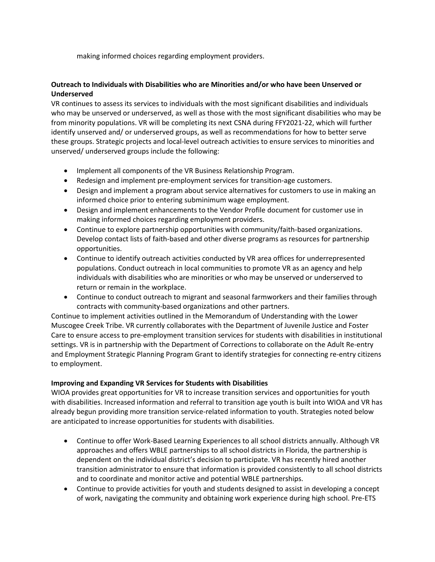making informed choices regarding employment providers.

# **Outreach to Individuals with Disabilities who are Minorities and/or who have been Unserved or Underserved**

VR continues to assess its services to individuals with the most significant disabilities and individuals who may be unserved or underserved, as well as those with the most significant disabilities who may be from minority populations. VR will be completing its next CSNA during FFY2021-22, which will further identify unserved and/ or underserved groups, as well as recommendations for how to better serve these groups. Strategic projects and local-level outreach activities to ensure services to minorities and unserved/ underserved groups include the following:

- Implement all components of the VR Business Relationship Program.
- Redesign and implement pre-employment services for transition-age customers.
- Design and implement a program about service alternatives for customers to use in making an informed choice prior to entering subminimum wage employment.
- Design and implement enhancements to the Vendor Profile document for customer use in making informed choices regarding employment providers.
- Continue to explore partnership opportunities with community/faith-based organizations. Develop contact lists of faith-based and other diverse programs as resources for partnership opportunities.
- Continue to identify outreach activities conducted by VR area offices for underrepresented populations. Conduct outreach in local communities to promote VR as an agency and help individuals with disabilities who are minorities or who may be unserved or underserved to return or remain in the workplace.
- Continue to conduct outreach to migrant and seasonal farmworkers and their families through contracts with community-based organizations and other partners.

Continue to implement activities outlined in the Memorandum of Understanding with the Lower Muscogee Creek Tribe. VR currently collaborates with the Department of Juvenile Justice and Foster Care to ensure access to pre-employment transition services for students with disabilities in institutional settings. VR is in partnership with the Department of Corrections to collaborate on the Adult Re-entry and Employment Strategic Planning Program Grant to identify strategies for connecting re-entry citizens to employment.

### **Improving and Expanding VR Services for Students with Disabilities**

WIOA provides great opportunities for VR to increase transition services and opportunities for youth with disabilities. Increased information and referral to transition age youth is built into WIOA and VR has already begun providing more transition service-related information to youth. Strategies noted below are anticipated to increase opportunities for students with disabilities.

- Continue to offer Work-Based Learning Experiences to all school districts annually. Although VR approaches and offers WBLE partnerships to all school districts in Florida, the partnership is dependent on the individual district's decision to participate. VR has recently hired another transition administrator to ensure that information is provided consistently to all school districts and to coordinate and monitor active and potential WBLE partnerships.
- Continue to provide activities for youth and students designed to assist in developing a concept of work, navigating the community and obtaining work experience during high school. Pre-ETS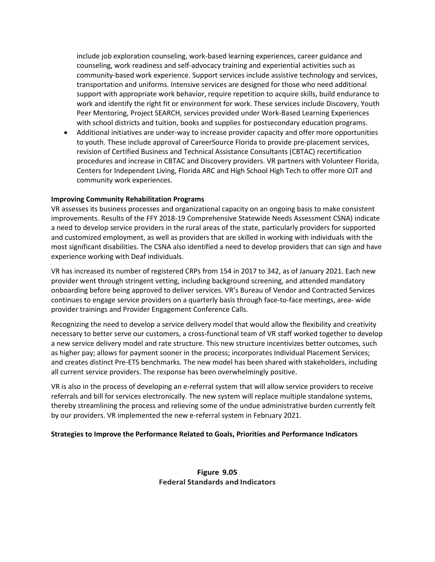include job exploration counseling, work-based learning experiences, career guidance and counseling, work readiness and self-advocacy training and experiential activities such as community-based work experience. Support services include assistive technology and services, transportation and uniforms. Intensive services are designed for those who need additional support with appropriate work behavior, require repetition to acquire skills, build endurance to work and identify the right fit or environment for work. These services include Discovery, Youth Peer Mentoring, Project SEARCH, services provided under Work-Based Learning Experiences with school districts and tuition, books and supplies for postsecondary education programs.

• Additional initiatives are under-way to increase provider capacity and offer more opportunities to youth. These include approval of CareerSource Florida to provide pre-placement services, revision of Certified Business and Technical Assistance Consultants (CBTAC) recertification procedures and increase in CBTAC and Discovery providers. VR partners with Volunteer Florida, Centers for Independent Living, Florida ARC and High School High Tech to offer more OJT and community work experiences.

#### **Improving Community Rehabilitation Programs**

VR assesses its business processes and organizational capacity on an ongoing basis to make consistent improvements. Results of the FFY 2018-19 Comprehensive Statewide Needs Assessment CSNA) indicate a need to develop service providers in the rural areas of the state, particularly providers for supported and customized employment, as well as providers that are skilled in working with individuals with the most significant disabilities. The CSNA also identified a need to develop providers that can sign and have experience working with Deaf individuals.

VR has increased its number of registered CRPs from 154 in 2017 to 342, as of January 2021. Each new provider went through stringent vetting, including background screening, and attended mandatory onboarding before being approved to deliver services. VR's Bureau of Vendor and Contracted Services continues to engage service providers on a quarterly basis through face-to-face meetings, area- wide provider trainings and Provider Engagement Conference Calls.

Recognizing the need to develop a service delivery model that would allow the flexibility and creativity necessary to better serve our customers, a cross-functional team of VR staff worked together to develop a new service delivery model and rate structure. This new structure incentivizes better outcomes, such as higher pay; allows for payment sooner in the process; incorporates Individual Placement Services; and creates distinct Pre-ETS benchmarks. The new model has been shared with stakeholders, including all current service providers. The response has been overwhelmingly positive.

VR is also in the process of developing an e-referral system that will allow service providers to receive referrals and bill for services electronically. The new system will replace multiple standalone systems, thereby streamlining the process and relieving some of the undue administrative burden currently felt by our providers. VR implemented the new e-referral system in February 2021.

#### **Strategies to Improve the Performance Related to Goals, Priorities and Performance Indicators**

### **Figure 9.05 Federal Standards and Indicators**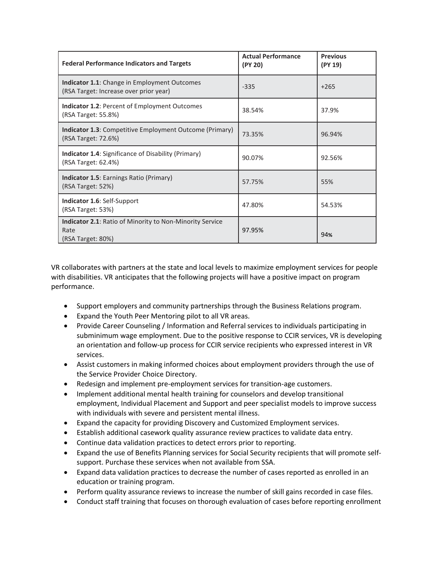| <b>Federal Performance Indicators and Targets</b>                                             | <b>Actual Performance</b><br>(PY 20) | <b>Previous</b><br>(PY 19) |
|-----------------------------------------------------------------------------------------------|--------------------------------------|----------------------------|
| <b>Indicator 1.1:</b> Change in Employment Outcomes<br>(RSA Target: Increase over prior year) | $-335$                               | $+265$                     |
| <b>Indicator 1.2: Percent of Employment Outcomes</b><br>(RSA Target: 55.8%)                   | 38.54%                               | 37.9%                      |
| <b>Indicator 1.3: Competitive Employment Outcome (Primary)</b><br>(RSA Target: 72.6%)         | 73.35%                               | 96.94%                     |
| <b>Indicator 1.4:</b> Significance of Disability (Primary)<br>(RSA Target: 62.4%)             | 90.07%                               | 92.56%                     |
| <b>Indicator 1.5: Earnings Ratio (Primary)</b><br>(RSA Target: 52%)                           | 57.75%                               | 55%                        |
| Indicator 1.6: Self-Support<br>(RSA Target: 53%)                                              | 47.80%                               | 54.53%                     |
| <b>Indicator 2.1: Ratio of Minority to Non-Minority Service</b><br>Rate<br>(RSA Target: 80%)  | 97.95%                               | 94%                        |

VR collaborates with partners at the state and local levels to maximize employment services for people with disabilities. VR anticipates that the following projects will have a positive impact on program performance.

- Support employers and community partnerships through the Business Relations program.
- Expand the Youth Peer Mentoring pilot to all VR areas.
- Provide Career Counseling / Information and Referral services to individuals participating in subminimum wage employment. Due to the positive response to CCIR services, VR is developing an orientation and follow-up process for CCIR service recipients who expressed interest in VR services.
- Assist customers in making informed choices about employment providers through the use of the Service Provider Choice Directory.
- Redesign and implement pre-employment services for transition-age customers.
- Implement additional mental health training for counselors and develop transitional employment, Individual Placement and Support and peer specialist models to improve success with individuals with severe and persistent mental illness.
- Expand the capacity for providing Discovery and Customized Employment services.
- Establish additional casework quality assurance review practices to validate data entry.
- Continue data validation practices to detect errors prior to reporting.
- Expand the use of Benefits Planning services for Social Security recipients that will promote selfsupport. Purchase these services when not available from SSA.
- Expand data validation practices to decrease the number of cases reported as enrolled in an education or training program.
- Perform quality assurance reviews to increase the number of skill gains recorded in case files.
- Conduct staff training that focuses on thorough evaluation of cases before reporting enrollment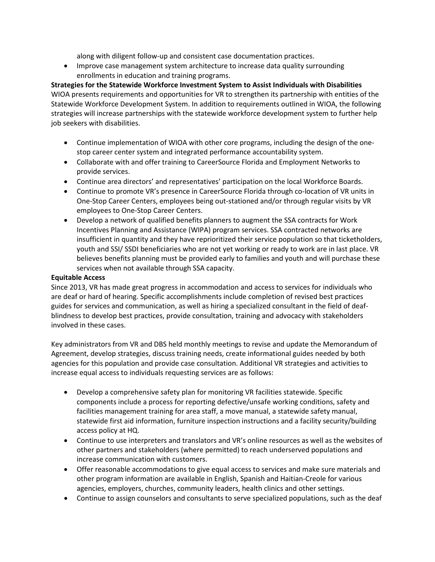along with diligent follow-up and consistent case documentation practices.

• Improve case management system architecture to increase data quality surrounding enrollments in education and training programs.

**Strategies for the Statewide Workforce Investment System to Assist Individuals with Disabilities** WIOA presents requirements and opportunities for VR to strengthen its partnership with entities of the Statewide Workforce Development System. In addition to requirements outlined in WIOA, the following strategies will increase partnerships with the statewide workforce development system to further help job seekers with disabilities.

- Continue implementation of WIOA with other core programs, including the design of the onestop career center system and integrated performance accountability system.
- Collaborate with and offer training to CareerSource Florida and Employment Networks to provide services.
- Continue area directors' and representatives' participation on the local Workforce Boards.
- Continue to promote VR's presence in CareerSource Florida through co-location of VR units in One-Stop Career Centers, employees being out-stationed and/or through regular visits by VR employees to One-Stop Career Centers.
- Develop a network of qualified benefits planners to augment the SSA contracts for Work Incentives Planning and Assistance (WIPA) program services. SSA contracted networks are insufficient in quantity and they have reprioritized their service population so that ticketholders, youth and SSI/ SSDI beneficiaries who are not yet working or ready to work are in last place. VR believes benefits planning must be provided early to families and youth and will purchase these services when not available through SSA capacity.

### **Equitable Access**

Since 2013, VR has made great progress in accommodation and access to services for individuals who are deaf or hard of hearing. Specific accomplishments include completion of revised best practices guides for services and communication, as well as hiring a specialized consultant in the field of deafblindness to develop best practices, provide consultation, training and advocacy with stakeholders involved in these cases.

Key administrators from VR and DBS held monthly meetings to revise and update the Memorandum of Agreement, develop strategies, discuss training needs, create informational guides needed by both agencies for this population and provide case consultation. Additional VR strategies and activities to increase equal access to individuals requesting services are as follows:

- Develop a comprehensive safety plan for monitoring VR facilities statewide. Specific components include a process for reporting defective/unsafe working conditions, safety and facilities management training for area staff, a move manual, a statewide safety manual, statewide first aid information, furniture inspection instructions and a facility security/building access policy at HQ.
- Continue to use interpreters and translators and VR's online resources as well as the websites of other partners and stakeholders (where permitted) to reach underserved populations and increase communication with customers.
- Offer reasonable accommodations to give equal access to services and make sure materials and other program information are available in English, Spanish and Haitian-Creole for various agencies, employers, churches, community leaders, health clinics and other settings.
- Continue to assign counselors and consultants to serve specialized populations, such as the deaf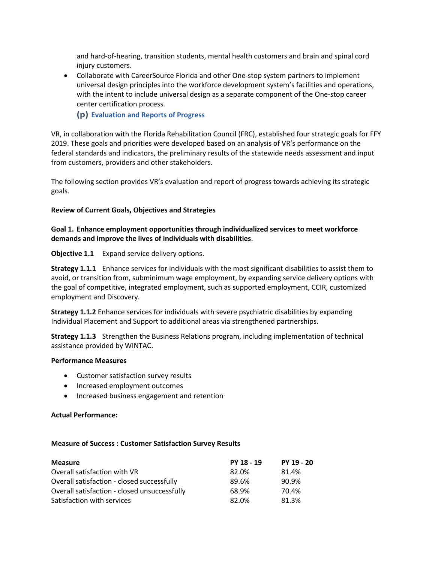and hard-of-hearing, transition students, mental health customers and brain and spinal cord injury customers.

• Collaborate with CareerSource Florida and other One-stop system partners to implement universal design principles into the workforce development system's facilities and operations, with the intent to include universal design as a separate component of the One-stop career center certification process.

**(p) Evaluation and Reports of Progress**

VR, in collaboration with the Florida Rehabilitation Council (FRC), established four strategic goals for FFY 2019. These goals and priorities were developed based on an analysis of VR's performance on the federal standards and indicators, the preliminary results of the statewide needs assessment and input from customers, providers and other stakeholders.

The following section provides VR's evaluation and report of progress towards achieving its strategic goals.

### **Review of Current Goals, Objectives and Strategies**

### **Goal 1. Enhance employment opportunities through individualized services to meet workforce demands and improve the lives of individuals with disabilities**.

### **Objective 1.1** Expand service delivery options.

**Strategy 1.1.1** Enhance services for individuals with the most significant disabilities to assist them to avoid, or transition from, subminimum wage employment, by expanding service delivery options with the goal of competitive, integrated employment, such as supported employment, CCIR, customized employment and Discovery.

**Strategy 1.1.2** Enhance services for individuals with severe psychiatric disabilities by expanding Individual Placement and Support to additional areas via strengthened partnerships.

**Strategy 1.1.3** Strengthen the Business Relations program, including implementation of technical assistance provided by WINTAC.

### **Performance Measures**

- Customer satisfaction survey results
- Increased employment outcomes
- Increased business engagement and retention

### **Actual Performance:**

### **Measure of Success : Customer Satisfaction Survey Results**

| <b>Measure</b>                               | PY 18 - 19 | PY 19 - 20 |
|----------------------------------------------|------------|------------|
| Overall satisfaction with VR                 | 82.0%      | 81.4%      |
| Overall satisfaction - closed successfully   | 89.6%      | 90.9%      |
| Overall satisfaction - closed unsuccessfully | 68.9%      | 70.4%      |
| Satisfaction with services                   | 82.0%      | 81.3%      |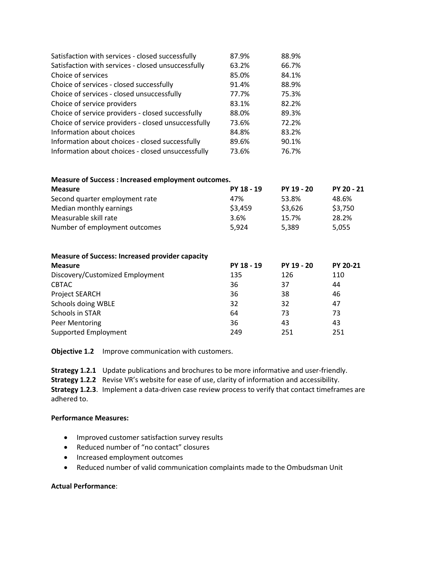| Satisfaction with services - closed successfully    | 87.9% | 88.9% |
|-----------------------------------------------------|-------|-------|
| Satisfaction with services - closed unsuccessfully  | 63.2% | 66.7% |
| Choice of services                                  | 85.0% | 84.1% |
| Choice of services - closed successfully            | 91.4% | 88.9% |
| Choice of services - closed unsuccessfully          | 77.7% | 75.3% |
| Choice of service providers                         | 83.1% | 82.2% |
| Choice of service providers - closed successfully   | 88.0% | 89.3% |
| Choice of service providers - closed unsuccessfully | 73.6% | 72.2% |
| Information about choices                           | 84.8% | 83.2% |
| Information about choices - closed successfully     | 89.6% | 90.1% |
| Information about choices - closed unsuccessfully   | 73.6% | 76.7% |

| <b>Measure of Success: Increased employment outcomes.</b> |            |            |                 |
|-----------------------------------------------------------|------------|------------|-----------------|
| <b>Measure</b>                                            | PY 18 - 19 | PY 19 - 20 | PY 20 - 21      |
| Second quarter employment rate                            | 47%        | 53.8%      | 48.6%           |
| Median monthly earnings                                   | \$3,459    | \$3,626    | \$3,750         |
| Measurable skill rate                                     | 3.6%       | 15.7%      | 28.2%           |
| Number of employment outcomes                             | 5,924      | 5,389      | 5,055           |
| <b>Measure of Success: Increased provider capacity</b>    |            |            |                 |
| <b>Measure</b>                                            | PY 18 - 19 | PY 19 - 20 | <b>PY 20-21</b> |
| Discovery/Customized Employment                           | 135        | 126        | 110             |
| <b>CBTAC</b>                                              | 36         | 37         | 44              |
| Project SEARCH                                            | 36         | 38         | 46              |
| Schools doing WBLE                                        | 32         | 32         | 47              |
| Schools in STAR                                           | 64         | 73         | 73              |
| Peer Mentoring                                            | 36         | 43         | 43              |
| Supported Employment                                      | 249        | 251        | 251             |

**Objective 1.2** Improve communication with customers.

**Strategy 1.2.1** Update publications and brochures to be more informative and user-friendly.

**Strategy 1.2.2** Revise VR's website for ease of use, clarity of information and accessibility.

**Strategy 1.2.3**. Implement a data-driven case review process to verify that contact timeframes are adhered to.

#### **Performance Measures:**

- Improved customer satisfaction survey results
- Reduced number of "no contact" closures
- Increased employment outcomes
- Reduced number of valid communication complaints made to the Ombudsman Unit

#### **Actual Performance**: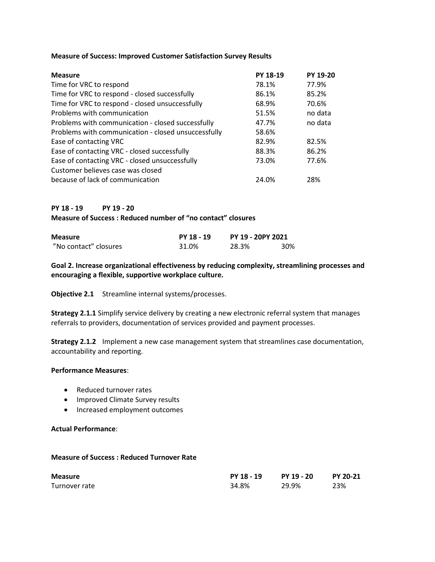#### **Measure of Success: Improved Customer Satisfaction Survey Results**

| <b>Measure</b>                                      | <b>PY 18-19</b> | PY 19-20 |
|-----------------------------------------------------|-----------------|----------|
| Time for VRC to respond                             | 78.1%           | 77.9%    |
| Time for VRC to respond - closed successfully       | 86.1%           | 85.2%    |
| Time for VRC to respond - closed unsuccessfully     | 68.9%           | 70.6%    |
| Problems with communication                         | 51.5%           | no data  |
| Problems with communication - closed successfully   | 47.7%           | no data  |
| Problems with communication - closed unsuccessfully | 58.6%           |          |
| Ease of contacting VRC                              | 82.9%           | 82.5%    |
| Ease of contacting VRC - closed successfully        | 88.3%           | 86.2%    |
| Ease of contacting VRC - closed unsuccessfully      | 73.0%           | 77.6%    |
| Customer believes case was closed                   |                 |          |
| because of lack of communication                    | 24.0%           | 28%      |

### **PY 18 - 19 PY 19 - 20**

**Measure of Success : Reduced number of "no contact" closures**

| <b>Measure</b>        | PY 18 - 19 | PY 19 - 20PY 2021 |     |
|-----------------------|------------|-------------------|-----|
| "No contact" closures | 31.0%      | 28.3%             | 30% |

**Goal 2. Increase organizational effectiveness by reducing complexity, streamlining processes and encouraging a flexible, supportive workplace culture.**

**Objective 2.1** Streamline internal systems/processes.

**Strategy 2.1.1** Simplify service delivery by creating a new electronic referral system that manages referrals to providers, documentation of services provided and payment processes.

**Strategy 2.1.2** Implement a new case management system that streamlines case documentation, accountability and reporting.

#### **Performance Measures**:

- Reduced turnover rates
- Improved Climate Survey results
- Increased employment outcomes

#### **Actual Performance**:

#### **Measure of Success : Reduced Turnover Rate**

| <b>Measure</b> | PY 18 - 19 | PY 19 - 20 | PY 20-21 |
|----------------|------------|------------|----------|
| Turnover rate  | 34.8%      | 29.9%      | 23%      |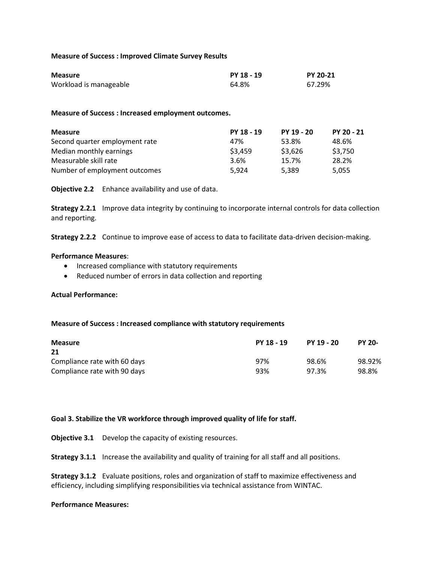#### **Measure of Success : Improved Climate Survey Results**

| <b>Measure</b>         | PY 18 - 19 | <b>PY 20-21</b> |
|------------------------|------------|-----------------|
| Workload is manageable | 64.8%      | 67.29%          |

#### **Measure of Success : Increased employment outcomes.**

| <b>Measure</b>                 | PY 18 - 19 | PY 19 - 20 | PY 20 - 21 |
|--------------------------------|------------|------------|------------|
| Second quarter employment rate | 47%        | 53.8%      | 48.6%      |
| Median monthly earnings        | \$3,459    | \$3,626    | \$3,750    |
| Measurable skill rate          | 3.6%       | 15.7%      | 28.2%      |
| Number of employment outcomes  | 5.924      | 5,389      | 5,055      |

**Objective 2.2** Enhance availability and use of data.

**Strategy 2.2.1** Improve data integrity by continuing to incorporate internal controls for data collection and reporting.

**Strategy 2.2.2** Continue to improve ease of access to data to facilitate data-driven decision-making.

#### **Performance Measures**:

- Increased compliance with statutory requirements
- Reduced number of errors in data collection and reporting

#### **Actual Performance:**

#### **Measure of Success : Increased compliance with statutory requirements**

| <b>Measure</b>               | PY 18 - 19 | PY 19 - 20 | <b>PY 20-</b> |
|------------------------------|------------|------------|---------------|
| 21                           |            |            |               |
| Compliance rate with 60 days | 97%        | 98.6%      | 98.92%        |
| Compliance rate with 90 days | 93%        | 97.3%      | 98.8%         |

### **Goal 3. Stabilize the VR workforce through improved quality of life for staff.**

**Objective 3.1** Develop the capacity of existing resources.

**Strategy 3.1.1** Increase the availability and quality of training for all staff and all positions.

**Strategy 3.1.2** Evaluate positions, roles and organization of staff to maximize effectiveness and efficiency, including simplifying responsibilities via technical assistance from WINTAC.

#### **Performance Measures:**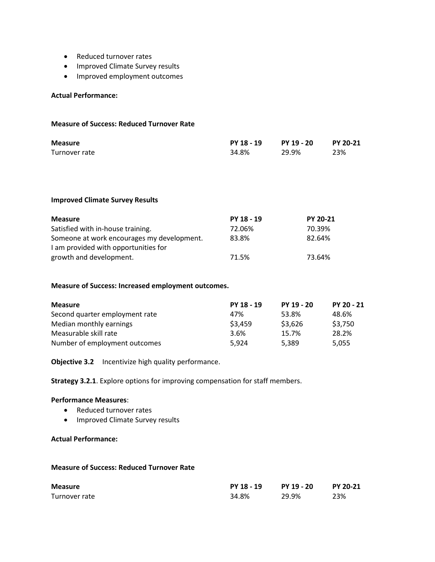- Reduced turnover rates
- Improved Climate Survey results
- Improved employment outcomes

#### **Actual Performance:**

#### **Measure of Success: Reduced Turnover Rate**

| <b>Measure</b> | PY 18 - 19 | PY 19 - 20 | <b>PY 20-21</b> |
|----------------|------------|------------|-----------------|
| Turnover rate  | 34.8%      | 29.9%      | 23%             |

#### **Improved Climate Survey Results**

| <b>Measure</b>                             | PY 18 - 19 | <b>PY 20-21</b> |
|--------------------------------------------|------------|-----------------|
| Satisfied with in-house training.          | 72.06%     | 70.39%          |
| Someone at work encourages my development. | 83.8%      | 82.64%          |
| I am provided with opportunities for       |            |                 |
| growth and development.                    | 71.5%      | 73.64%          |

#### **Measure of Success: Increased employment outcomes.**

| <b>Measure</b>                 | PY 18 - 19 | PY 19 - 20 | PY 20 - 21 |
|--------------------------------|------------|------------|------------|
| Second quarter employment rate | 47%        | 53.8%      | 48.6%      |
| Median monthly earnings        | \$3,459    | \$3,626    | \$3,750    |
| Measurable skill rate          | 3.6%       | 15.7%      | 28.2%      |
| Number of employment outcomes  | 5.924      | 5,389      | 5,055      |

**Objective 3.2** Incentivize high quality performance.

**Strategy 3.2.1**. Explore options for improving compensation for staff members.

#### **Performance Measures**:

- Reduced turnover rates
- Improved Climate Survey results

# **Actual Performance:**

#### **Measure of Success: Reduced Turnover Rate**

| <b>Measure</b> | PY 18 - 19 | PY 19 - 20 | <b>PY 20-21</b> |
|----------------|------------|------------|-----------------|
| Turnover rate  | 34.8%      | 29.9%      | 23%             |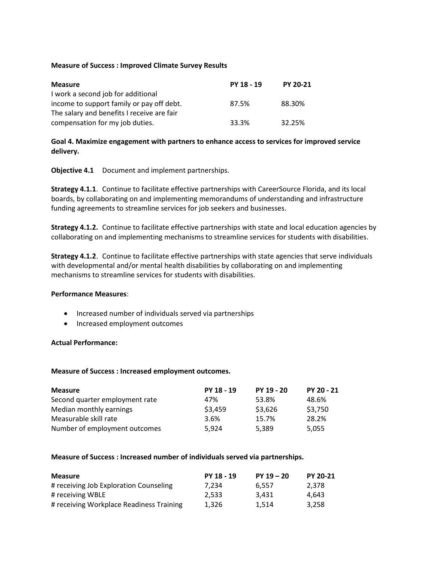#### **Measure of Success : Improved Climate Survey Results**

| <b>Measure</b>                             | PY 18 - 19 | <b>PY 20-21</b> |
|--------------------------------------------|------------|-----------------|
| I work a second job for additional         |            |                 |
| income to support family or pay off debt.  | 87.5%      | 88.30%          |
| The salary and benefits I receive are fair |            |                 |
| compensation for my job duties.            | 33.3%      | 32.25%          |

### **Goal 4. Maximize engagement with partners to enhance access to services for improved service delivery.**

**Objective 4.1** Document and implement partnerships.

**Strategy 4.1.1**. Continue to facilitate effective partnerships with CareerSource Florida, and its local boards, by collaborating on and implementing memorandums of understanding and infrastructure funding agreements to streamline services for job seekers and businesses.

**Strategy 4.1.2.** Continue to facilitate effective partnerships with state and local education agencies by collaborating on and implementing mechanisms to streamline services for students with disabilities.

**Strategy 4.1.2**. Continue to facilitate effective partnerships with state agencies that serve individuals with developmental and/or mental health disabilities by collaborating on and implementing mechanisms to streamline services for students with disabilities.

### **Performance Measures**:

- Increased number of individuals served via partnerships
- Increased employment outcomes

### **Actual Performance:**

#### **Measure of Success : Increased employment outcomes.**

| <b>Measure</b>                 | PY 18 - 19 | PY 19 - 20 | PY 20 - 21 |
|--------------------------------|------------|------------|------------|
| Second quarter employment rate | 47%        | 53.8%      | 48.6%      |
| Median monthly earnings        | \$3,459    | \$3,626    | \$3,750    |
| Measurable skill rate          | 3.6%       | 15.7%      | 28.2%      |
| Number of employment outcomes  | 5.924      | 5.389      | 5.055      |

### **Measure of Success : Increased number of individuals served via partnerships.**

| <b>Measure</b>                           | PY 18 - 19 | $PY 19 - 20$ | <b>PY 20-21</b> |
|------------------------------------------|------------|--------------|-----------------|
| # receiving Job Exploration Counseling   | 7.234      | 6.557        | 2.378           |
| # receiving WBLE                         | 2.533      | 3.431        | 4.643           |
| # receiving Workplace Readiness Training | 1.326      | 1.514        | 3.258           |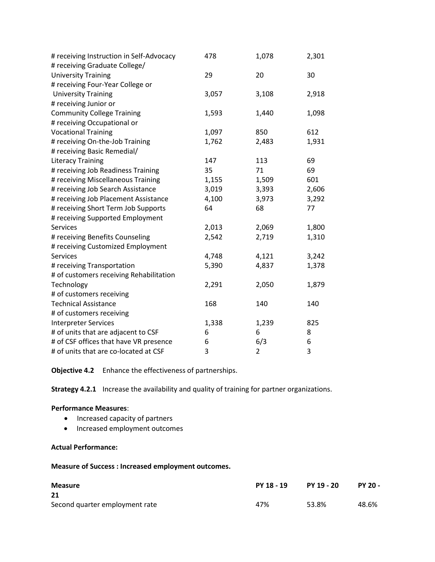| # receiving Instruction in Self-Advocacy | 478   | 1,078          | 2,301 |
|------------------------------------------|-------|----------------|-------|
| # receiving Graduate College/            |       |                |       |
| <b>University Training</b>               | 29    | 20             | 30    |
| # receiving Four-Year College or         |       |                |       |
| <b>University Training</b>               | 3,057 | 3,108          | 2,918 |
| # receiving Junior or                    |       |                |       |
| <b>Community College Training</b>        | 1,593 | 1,440          | 1,098 |
| # receiving Occupational or              |       |                |       |
| <b>Vocational Training</b>               | 1,097 | 850            | 612   |
| # receiving On-the-Job Training          | 1,762 | 2,483          | 1,931 |
| # receiving Basic Remedial/              |       |                |       |
| <b>Literacy Training</b>                 | 147   | 113            | 69    |
| # receiving Job Readiness Training       | 35    | 71             | 69    |
| # receiving Miscellaneous Training       | 1,155 | 1,509          | 601   |
| # receiving Job Search Assistance        | 3,019 | 3,393          | 2,606 |
| # receiving Job Placement Assistance     | 4,100 | 3,973          | 3,292 |
| # receiving Short Term Job Supports      | 64    | 68             | 77    |
| # receiving Supported Employment         |       |                |       |
| <b>Services</b>                          | 2,013 | 2,069          | 1,800 |
| # receiving Benefits Counseling          | 2,542 | 2,719          | 1,310 |
| # receiving Customized Employment        |       |                |       |
| <b>Services</b>                          | 4,748 | 4,121          | 3,242 |
| # receiving Transportation               | 5,390 | 4,837          | 1,378 |
| # of customers receiving Rehabilitation  |       |                |       |
| Technology                               | 2,291 | 2,050          | 1,879 |
| # of customers receiving                 |       |                |       |
| <b>Technical Assistance</b>              | 168   | 140            | 140   |
| # of customers receiving                 |       |                |       |
| <b>Interpreter Services</b>              | 1,338 | 1,239          | 825   |
| # of units that are adjacent to CSF      | 6     | 6              | 8     |
| # of CSF offices that have VR presence   | 6     | 6/3            | 6     |
| # of units that are co-located at CSF    | 3     | $\overline{2}$ | 3     |

**Objective 4.2** Enhance the effectiveness of partnerships.

**Strategy 4.2.1** Increase the availability and quality of training for partner organizations.

### **Performance Measures**:

- Increased capacity of partners
- Increased employment outcomes

# **Actual Performance:**

**Measure of Success : Increased employment outcomes.**

| <b>Measure</b>                 | PY 18 - 19 | PY 19 - 20 | PY 20 - |
|--------------------------------|------------|------------|---------|
| 21                             |            |            |         |
| Second quarter employment rate | 47%        | 53.8%      | 48.6%   |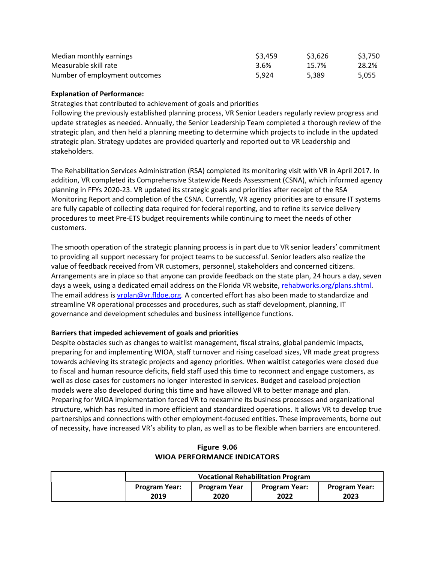| Median monthly earnings       | \$3.459 | \$3,626 | \$3.750 |
|-------------------------------|---------|---------|---------|
| Measurable skill rate         | 3.6%    | 15.7%   | 28.2%   |
| Number of employment outcomes | 5.924   | 5.389   | 5,055   |

#### **Explanation of Performance:**

Strategies that contributed to achievement of goals and priorities

Following the previously established planning process, VR Senior Leaders regularly review progress and update strategies as needed. Annually, the Senior Leadership Team completed a thorough review of the strategic plan, and then held a planning meeting to determine which projects to include in the updated strategic plan. Strategy updates are provided quarterly and reported out to VR Leadership and stakeholders.

The Rehabilitation Services Administration (RSA) completed its monitoring visit with VR in April 2017. In addition, VR completed its Comprehensive Statewide Needs Assessment (CSNA), which informed agency planning in FFYs 2020-23. VR updated its strategic goals and priorities after receipt of the RSA Monitoring Report and completion of the CSNA. Currently, VR agency priorities are to ensure IT systems are fully capable of collecting data required for federal reporting, and to refine its service delivery procedures to meet Pre-ETS budget requirements while continuing to meet the needs of other customers.

The smooth operation of the strategic planning process is in part due to VR senior leaders' commitment to providing all support necessary for project teams to be successful. Senior leaders also realize the value of feedback received from VR customers, personnel, stakeholders and concerned citizens. Arrangements are in place so that anyone can provide feedback on the state plan, 24 hours a day, seven days a week, using a dedicated email address on the Florida VR website, [rehabworks.org/plans.shtml.](mailto:rehabworks.org/plans.shtml) The email address is *vrplan@vr.fldoe.org*. A concerted effort has also been made to standardize and streamline VR operational processes and procedures, such as staff development, planning, IT governance and development schedules and business intelligence functions.

### **Barriers that impeded achievement of goals and priorities**

Despite obstacles such as changes to waitlist management, fiscal strains, global pandemic impacts, preparing for and implementing WIOA, staff turnover and rising caseload sizes, VR made great progress towards achieving its strategic projects and agency priorities. When waitlist categories were closed due to fiscal and human resource deficits, field staff used this time to reconnect and engage customers, as well as close cases for customers no longer interested in services. Budget and caseload projection models were also developed during this time and have allowed VR to better manage and plan. Preparing for WIOA implementation forced VR to reexamine its business processes and organizational structure, which has resulted in more efficient and standardized operations. It allows VR to develop true partnerships and connections with other employment-focused entities. These improvements, borne out of necessity, have increased VR's ability to plan, as well as to be flexible when barriers are encountered.

### **Figure 9.06 WIOA PERFORMANCE INDICATORS**

| <b>Vocational Rehabilitation Program</b> |                     |                      |                      |
|------------------------------------------|---------------------|----------------------|----------------------|
| <b>Program Year:</b>                     | <b>Program Year</b> | <b>Program Year:</b> | <b>Program Year:</b> |
| 2019                                     | 2020                | 2022                 | 2023                 |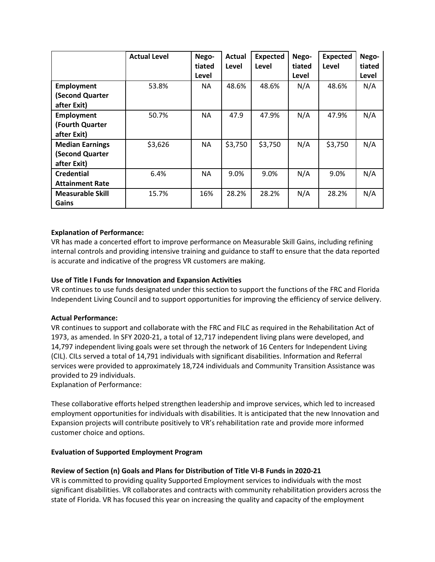|                                                          | <b>Actual Level</b> | Nego-<br>tiated<br>Level | <b>Actual</b><br>Level | <b>Expected</b><br>Level | Nego-<br>tiated<br>Level | <b>Expected</b><br>Level | Nego-<br>tiated<br>Level |
|----------------------------------------------------------|---------------------|--------------------------|------------------------|--------------------------|--------------------------|--------------------------|--------------------------|
| <b>Employment</b><br>(Second Quarter<br>after Exit)      | 53.8%               | NA.                      | 48.6%                  | 48.6%                    | N/A                      | 48.6%                    | N/A                      |
| <b>Employment</b><br>(Fourth Quarter<br>after Exit)      | 50.7%               | <b>NA</b>                | 47.9                   | 47.9%                    | N/A                      | 47.9%                    | N/A                      |
| <b>Median Earnings</b><br>(Second Quarter<br>after Exit) | \$3,626             | <b>NA</b>                | \$3,750                | \$3,750                  | N/A                      | \$3,750                  | N/A                      |
| <b>Credential</b><br><b>Attainment Rate</b>              | 6.4%                | NA.                      | 9.0%                   | 9.0%                     | N/A                      | 9.0%                     | N/A                      |
| <b>Measurable Skill</b><br>Gains                         | 15.7%               | 16%                      | 28.2%                  | 28.2%                    | N/A                      | 28.2%                    | N/A                      |

# **Explanation of Performance:**

VR has made a concerted effort to improve performance on Measurable Skill Gains, including refining internal controls and providing intensive training and guidance to staff to ensure that the data reported is accurate and indicative of the progress VR customers are making.

### **Use of Title I Funds for Innovation and Expansion Activities**

VR continues to use funds designated under this section to support the functions of the FRC and Florida Independent Living Council and to support opportunities for improving the efficiency of service delivery.

### **Actual Performance:**

VR continues to support and collaborate with the FRC and FILC as required in the Rehabilitation Act of 1973, as amended. In SFY 2020-21, a total of 12,717 independent living plans were developed, and 14,797 independent living goals were set through the network of 16 Centers for Independent Living (CIL). CILs served a total of 14,791 individuals with significant disabilities. Information and Referral services were provided to approximately 18,724 individuals and Community Transition Assistance was provided to 29 individuals.

Explanation of Performance:

These collaborative efforts helped strengthen leadership and improve services, which led to increased employment opportunities for individuals with disabilities. It is anticipated that the new Innovation and Expansion projects will contribute positively to VR's rehabilitation rate and provide more informed customer choice and options.

### **Evaluation of Supported Employment Program**

### **Review of Section (n) Goals and Plans for Distribution of Title VI-B Funds in 2020-21**

VR is committed to providing quality Supported Employment services to individuals with the most significant disabilities. VR collaborates and contracts with community rehabilitation providers across the state of Florida. VR has focused this year on increasing the quality and capacity of the employment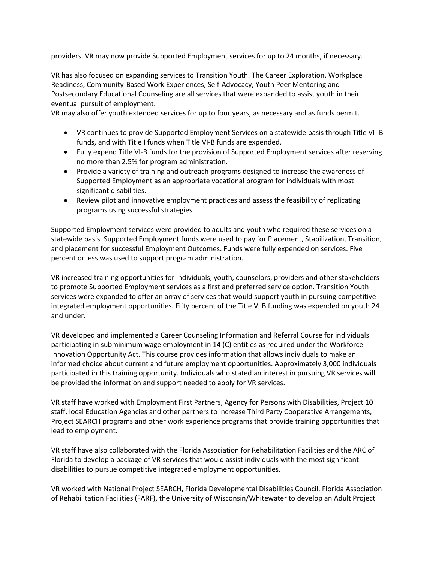providers. VR may now provide Supported Employment services for up to 24 months, if necessary.

VR has also focused on expanding services to Transition Youth. The Career Exploration, Workplace Readiness, Community-Based Work Experiences, Self-Advocacy, Youth Peer Mentoring and Postsecondary Educational Counseling are all services that were expanded to assist youth in their eventual pursuit of employment.

VR may also offer youth extended services for up to four years, as necessary and as funds permit.

- VR continues to provide Supported Employment Services on a statewide basis through Title VI- B funds, and with Title I funds when Title VI-B funds are expended.
- Fully expend Title VI-B funds for the provision of Supported Employment services after reserving no more than 2.5% for program administration.
- Provide a variety of training and outreach programs designed to increase the awareness of Supported Employment as an appropriate vocational program for individuals with most significant disabilities.
- Review pilot and innovative employment practices and assess the feasibility of replicating programs using successful strategies.

Supported Employment services were provided to adults and youth who required these services on a statewide basis. Supported Employment funds were used to pay for Placement, Stabilization, Transition, and placement for successful Employment Outcomes. Funds were fully expended on services. Five percent or less was used to support program administration.

VR increased training opportunities for individuals, youth, counselors, providers and other stakeholders to promote Supported Employment services as a first and preferred service option. Transition Youth services were expanded to offer an array of services that would support youth in pursuing competitive integrated employment opportunities. Fifty percent of the Title VI B funding was expended on youth 24 and under.

VR developed and implemented a Career Counseling Information and Referral Course for individuals participating in subminimum wage employment in 14 (C) entities as required under the Workforce Innovation Opportunity Act. This course provides information that allows individuals to make an informed choice about current and future employment opportunities. Approximately 3,000 individuals participated in this training opportunity. Individuals who stated an interest in pursuing VR services will be provided the information and support needed to apply for VR services.

VR staff have worked with Employment First Partners, Agency for Persons with Disabilities, Project 10 staff, local Education Agencies and other partners to increase Third Party Cooperative Arrangements, Project SEARCH programs and other work experience programs that provide training opportunities that lead to employment.

VR staff have also collaborated with the Florida Association for Rehabilitation Facilities and the ARC of Florida to develop a package of VR services that would assist individuals with the most significant disabilities to pursue competitive integrated employment opportunities.

VR worked with National Project SEARCH, Florida Developmental Disabilities Council, Florida Association of Rehabilitation Facilities (FARF), the University of Wisconsin/Whitewater to develop an Adult Project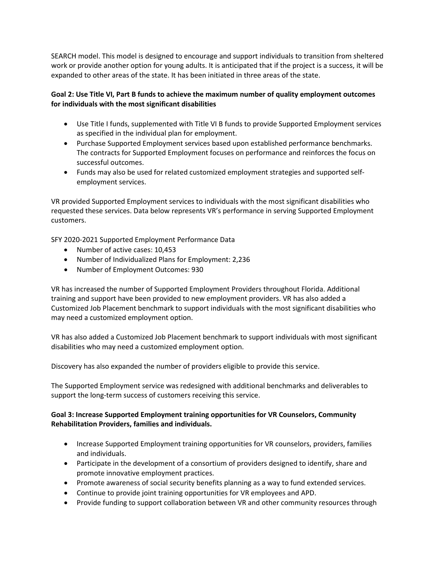SEARCH model. This model is designed to encourage and support individuals to transition from sheltered work or provide another option for young adults. It is anticipated that if the project is a success, it will be expanded to other areas of the state. It has been initiated in three areas of the state.

# **Goal 2: Use Title VI, Part B funds to achieve the maximum number of quality employment outcomes for individuals with the most significant disabilities**

- Use Title I funds, supplemented with Title VI B funds to provide Supported Employment services as specified in the individual plan for employment.
- Purchase Supported Employment services based upon established performance benchmarks. The contracts for Supported Employment focuses on performance and reinforces the focus on successful outcomes.
- Funds may also be used for related customized employment strategies and supported selfemployment services.

VR provided Supported Employment services to individuals with the most significant disabilities who requested these services. Data below represents VR's performance in serving Supported Employment customers.

SFY 2020-2021 Supported Employment Performance Data

- Number of active cases: 10,453
- Number of Individualized Plans for Employment: 2,236
- Number of Employment Outcomes: 930

VR has increased the number of Supported Employment Providers throughout Florida. Additional training and support have been provided to new employment providers. VR has also added a Customized Job Placement benchmark to support individuals with the most significant disabilities who may need a customized employment option.

VR has also added a Customized Job Placement benchmark to support individuals with most significant disabilities who may need a customized employment option.

Discovery has also expanded the number of providers eligible to provide this service.

The Supported Employment service was redesigned with additional benchmarks and deliverables to support the long-term success of customers receiving this service.

# **Goal 3: Increase Supported Employment training opportunities for VR Counselors, Community Rehabilitation Providers, families and individuals.**

- Increase Supported Employment training opportunities for VR counselors, providers, families and individuals.
- Participate in the development of a consortium of providers designed to identify, share and promote innovative employment practices.
- Promote awareness of social security benefits planning as a way to fund extended services.
- Continue to provide joint training opportunities for VR employees and APD.
- Provide funding to support collaboration between VR and other community resources through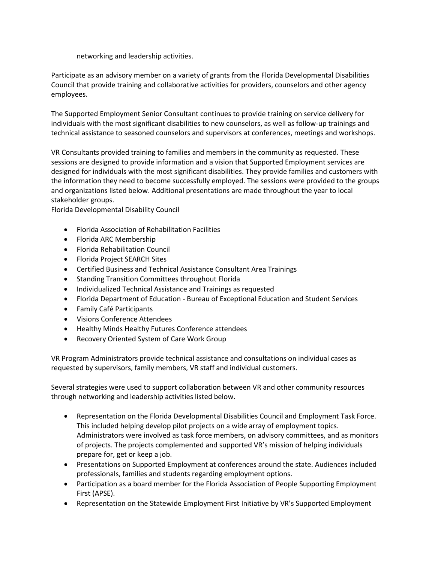networking and leadership activities.

Participate as an advisory member on a variety of grants from the Florida Developmental Disabilities Council that provide training and collaborative activities for providers, counselors and other agency employees.

The Supported Employment Senior Consultant continues to provide training on service delivery for individuals with the most significant disabilities to new counselors, as well as follow-up trainings and technical assistance to seasoned counselors and supervisors at conferences, meetings and workshops.

VR Consultants provided training to families and members in the community as requested. These sessions are designed to provide information and a vision that Supported Employment services are designed for individuals with the most significant disabilities. They provide families and customers with the information they need to become successfully employed. The sessions were provided to the groups and organizations listed below. Additional presentations are made throughout the year to local stakeholder groups.

Florida Developmental Disability Council

- Florida Association of Rehabilitation Facilities
- Florida ARC Membership
- Florida Rehabilitation Council
- Florida Project SEARCH Sites
- Certified Business and Technical Assistance Consultant Area Trainings
- Standing Transition Committees throughout Florida
- Individualized Technical Assistance and Trainings as requested
- Florida Department of Education Bureau of Exceptional Education and Student Services
- Family Café Participants
- Visions Conference Attendees
- Healthy Minds Healthy Futures Conference attendees
- Recovery Oriented System of Care Work Group

VR Program Administrators provide technical assistance and consultations on individual cases as requested by supervisors, family members, VR staff and individual customers.

Several strategies were used to support collaboration between VR and other community resources through networking and leadership activities listed below.

- Representation on the Florida Developmental Disabilities Council and Employment Task Force. This included helping develop pilot projects on a wide array of employment topics. Administrators were involved as task force members, on advisory committees, and as monitors of projects. The projects complemented and supported VR's mission of helping individuals prepare for, get or keep a job.
- Presentations on Supported Employment at conferences around the state. Audiences included professionals, families and students regarding employment options.
- Participation as a board member for the Florida Association of People Supporting Employment First (APSE).
- Representation on the Statewide Employment First Initiative by VR's Supported Employment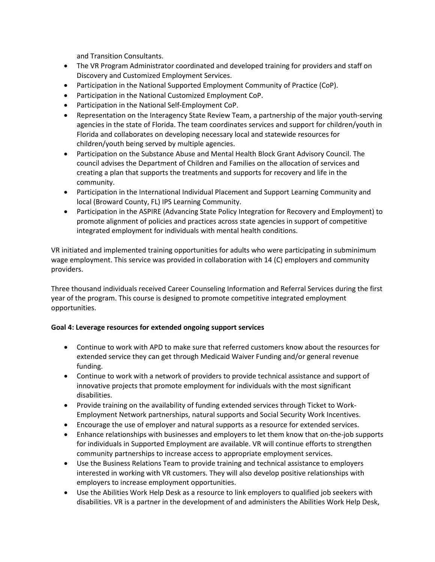and Transition Consultants.

- The VR Program Administrator coordinated and developed training for providers and staff on Discovery and Customized Employment Services.
- Participation in the National Supported Employment Community of Practice (CoP).
- Participation in the National Customized Employment CoP.
- Participation in the National Self-Employment CoP.
- Representation on the Interagency State Review Team, a partnership of the major youth-serving agencies in the state of Florida. The team coordinates services and support for children/youth in Florida and collaborates on developing necessary local and statewide resources for children/youth being served by multiple agencies.
- Participation on the Substance Abuse and Mental Health Block Grant Advisory Council. The council advises the Department of Children and Families on the allocation of services and creating a plan that supports the treatments and supports for recovery and life in the community.
- Participation in the International Individual Placement and Support Learning Community and local (Broward County, FL) IPS Learning Community.
- Participation in the ASPIRE (Advancing State Policy Integration for Recovery and Employment) to promote alignment of policies and practices across state agencies in support of competitive integrated employment for individuals with mental health conditions.

VR initiated and implemented training opportunities for adults who were participating in subminimum wage employment. This service was provided in collaboration with 14 (C) employers and community providers.

Three thousand individuals received Career Counseling Information and Referral Services during the first year of the program. This course is designed to promote competitive integrated employment opportunities.

### **Goal 4: Leverage resources for extended ongoing support services**

- Continue to work with APD to make sure that referred customers know about the resources for extended service they can get through Medicaid Waiver Funding and/or general revenue funding.
- Continue to work with a network of providers to provide technical assistance and support of innovative projects that promote employment for individuals with the most significant disabilities.
- Provide training on the availability of funding extended services through Ticket to Work-Employment Network partnerships, natural supports and Social Security Work Incentives.
- Encourage the use of employer and natural supports as a resource for extended services.
- Enhance relationships with businesses and employers to let them know that on-the-job supports for individuals in Supported Employment are available. VR will continue efforts to strengthen community partnerships to increase access to appropriate employment services.
- Use the Business Relations Team to provide training and technical assistance to employers interested in working with VR customers. They will also develop positive relationships with employers to increase employment opportunities.
- Use the Abilities Work Help Desk as a resource to link employers to qualified job seekers with disabilities. VR is a partner in the development of and administers the Abilities Work Help Desk,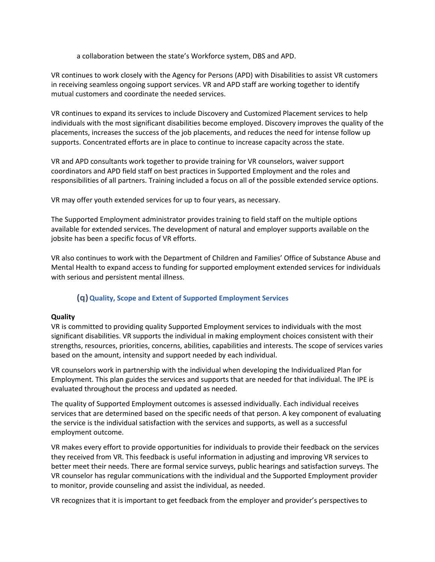a collaboration between the state's Workforce system, DBS and APD.

VR continues to work closely with the Agency for Persons (APD) with Disabilities to assist VR customers in receiving seamless ongoing support services. VR and APD staff are working together to identify mutual customers and coordinate the needed services.

VR continues to expand its services to include Discovery and Customized Placement services to help individuals with the most significant disabilities become employed. Discovery improves the quality of the placements, increases the success of the job placements, and reduces the need for intense follow up supports. Concentrated efforts are in place to continue to increase capacity across the state.

VR and APD consultants work together to provide training for VR counselors, waiver support coordinators and APD field staff on best practices in Supported Employment and the roles and responsibilities of all partners. Training included a focus on all of the possible extended service options.

VR may offer youth extended services for up to four years, as necessary.

The Supported Employment administrator provides training to field staff on the multiple options available for extended services. The development of natural and employer supports available on the jobsite has been a specific focus of VR efforts.

VR also continues to work with the Department of Children and Families' Office of Substance Abuse and Mental Health to expand access to funding for supported employment extended services for individuals with serious and persistent mental illness.

# **(q)Quality, Scope and Extent of Supported Employment Services**

#### **Quality**

VR is committed to providing quality Supported Employment services to individuals with the most significant disabilities. VR supports the individual in making employment choices consistent with their strengths, resources, priorities, concerns, abilities, capabilities and interests. The scope of services varies based on the amount, intensity and support needed by each individual.

VR counselors work in partnership with the individual when developing the Individualized Plan for Employment. This plan guides the services and supports that are needed for that individual. The IPE is evaluated throughout the process and updated as needed.

The quality of Supported Employment outcomes is assessed individually. Each individual receives services that are determined based on the specific needs of that person. A key component of evaluating the service is the individual satisfaction with the services and supports, as well as a successful employment outcome.

VR makes every effort to provide opportunities for individuals to provide their feedback on the services they received from VR. This feedback is useful information in adjusting and improving VR services to better meet their needs. There are formal service surveys, public hearings and satisfaction surveys. The VR counselor has regular communications with the individual and the Supported Employment provider to monitor, provide counseling and assist the individual, as needed.

VR recognizes that it is important to get feedback from the employer and provider's perspectives to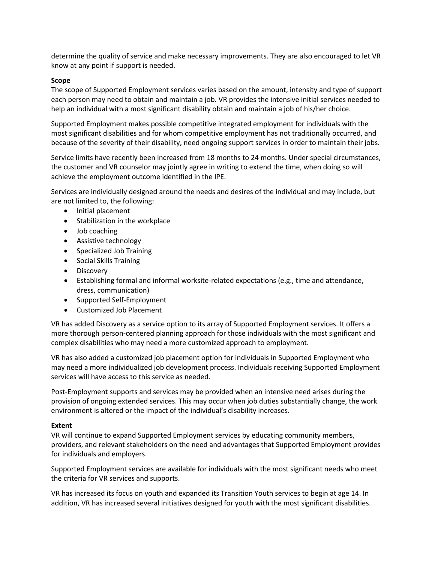determine the quality of service and make necessary improvements. They are also encouraged to let VR know at any point if support is needed.

### **Scope**

The scope of Supported Employment services varies based on the amount, intensity and type of support each person may need to obtain and maintain a job. VR provides the intensive initial services needed to help an individual with a most significant disability obtain and maintain a job of his/her choice.

Supported Employment makes possible competitive integrated employment for individuals with the most significant disabilities and for whom competitive employment has not traditionally occurred, and because of the severity of their disability, need ongoing support services in order to maintain their jobs.

Service limits have recently been increased from 18 months to 24 months. Under special circumstances, the customer and VR counselor may jointly agree in writing to extend the time, when doing so will achieve the employment outcome identified in the IPE.

Services are individually designed around the needs and desires of the individual and may include, but are not limited to, the following:

- Initial placement
- Stabilization in the workplace
- Job coaching
- Assistive technology
- Specialized Job Training
- Social Skills Training
- Discovery
- Establishing formal and informal worksite-related expectations (e.g., time and attendance, dress, communication)
- Supported Self-Employment
- Customized Job Placement

VR has added Discovery as a service option to its array of Supported Employment services. It offers a more thorough person-centered planning approach for those individuals with the most significant and complex disabilities who may need a more customized approach to employment.

VR has also added a customized job placement option for individuals in Supported Employment who may need a more individualized job development process. Individuals receiving Supported Employment services will have access to this service as needed.

Post-Employment supports and services may be provided when an intensive need arises during the provision of ongoing extended services. This may occur when job duties substantially change, the work environment is altered or the impact of the individual's disability increases.

### **Extent**

VR will continue to expand Supported Employment services by educating community members, providers, and relevant stakeholders on the need and advantages that Supported Employment provides for individuals and employers.

Supported Employment services are available for individuals with the most significant needs who meet the criteria for VR services and supports.

VR has increased its focus on youth and expanded its Transition Youth services to begin at age 14. In addition, VR has increased several initiatives designed for youth with the most significant disabilities.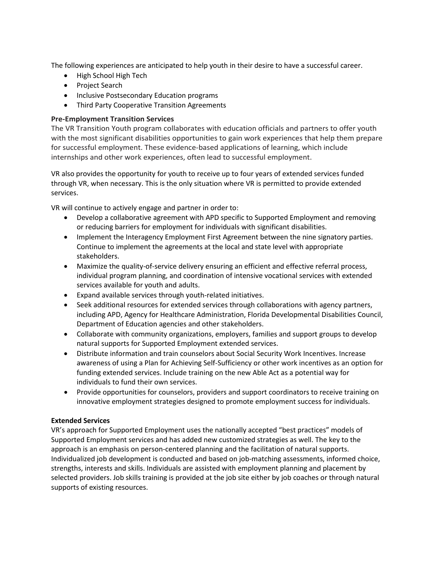The following experiences are anticipated to help youth in their desire to have a successful career.

- High School High Tech
- Project Search
- Inclusive Postsecondary Education programs
- Third Party Cooperative Transition Agreements

### **Pre-Employment Transition Services**

The VR Transition Youth program collaborates with education officials and partners to offer youth with the most significant disabilities opportunities to gain work experiences that help them prepare for successful employment. These evidence-based applications of learning, which include internships and other work experiences, often lead to successful employment.

VR also provides the opportunity for youth to receive up to four years of extended services funded through VR, when necessary. This is the only situation where VR is permitted to provide extended services.

VR will continue to actively engage and partner in order to:

- Develop a collaborative agreement with APD specific to Supported Employment and removing or reducing barriers for employment for individuals with significant disabilities.
- Implement the Interagency Employment First Agreement between the nine signatory parties. Continue to implement the agreements at the local and state level with appropriate stakeholders.
- Maximize the quality-of-service delivery ensuring an efficient and effective referral process, individual program planning, and coordination of intensive vocational services with extended services available for youth and adults.
- Expand available services through youth-related initiatives.
- Seek additional resources for extended services through collaborations with agency partners, including APD, Agency for Healthcare Administration, Florida Developmental Disabilities Council, Department of Education agencies and other stakeholders.
- Collaborate with community organizations, employers, families and support groups to develop natural supports for Supported Employment extended services.
- Distribute information and train counselors about Social Security Work Incentives. Increase awareness of using a Plan for Achieving Self-Sufficiency or other work incentives as an option for funding extended services. Include training on the new Able Act as a potential way for individuals to fund their own services.
- Provide opportunities for counselors, providers and support coordinators to receive training on innovative employment strategies designed to promote employment success for individuals.

### **Extended Services**

VR's approach for Supported Employment uses the nationally accepted "best practices" models of Supported Employment services and has added new customized strategies as well. The key to the approach is an emphasis on person-centered planning and the facilitation of natural supports. Individualized job development is conducted and based on job-matching assessments, informed choice, strengths, interests and skills. Individuals are assisted with employment planning and placement by selected providers. Job skills training is provided at the job site either by job coaches or through natural supports of existing resources.